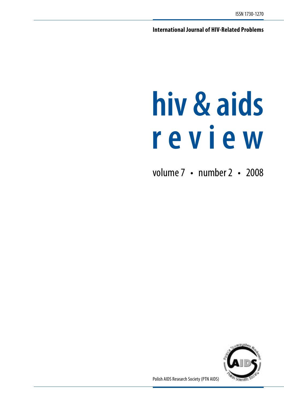**International Journal of HIV-Related Problems**

# **hiv & aids r e v i e w**

volume 7 • number 2 • 2008



Polish AIDS Research Society (PTN AIDS)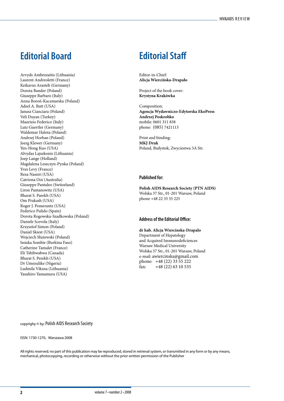# **Editorial Board Editorial Staff**

Arvyds Ambrozaitis (Lithuania) Laurent Andreoletti (France) Keikavus Arasteh (Germany) Dorota Bander (Poland) Giuseppe Barbaro (Italy) Anna Boroń-Kaczmarska (Poland) Adeel A. Butt (USA) Janusz Cianciara (Poland) Veli Duyan (Turkey) Maurizio Federico (Italy) Lutz Guertler (Germany) Waldemar Halota (Poland) Andrzej Horban (Poland) Joerg Klewer (Germany) Yen-Hong Kuo (USA) Alvydas Lajszkonis (Lithuania) Joep Lange (Holland) Magdalena Leszczyn-Pynka (Poland) Yves Levy (France) Reza Nassiri (USA) Catriona Ooi (Australia) Giuseppe Pantaleo (Switzeland) Liron Pantanowitz (USA) Bharat S. Parekh (USA) Om Prakash (USA) Roger J. Pomerantz (USA) Federico Pulido (Spain) Dorota Rogowska-Szadkowska (Poland) Daniele Scevola (Italy) Krzysztof Simon (Poland) Daniel Skiest (USA) Wojciech Służewski (Poland) Issiaka Sombie (Burkina Faso) Catherine Tamalet (France) Eli Tshibwabwa (Canada) Bharat S. Perekh (USA) Dr Umezulike (Nigeria) Ludmila Viksna (Lithuania) Yasuhiro Yamamura (USA)

Editor-in-Chief: **Alicja Wiercińska-Drapało**

Project of the book cover: **Krystyna Krakówka**

Composition: **Agencja Wydawniczo-Edytorska EkoPress Andrzej Poskrobko** mobile: 0601 311 838 phone: (085) 7421113

Print and binding: **MKJ Druk** Poland, Białystok, Zwyciestwa 3A Str.

### **Published for:**

**Polish AIDS Research Society (PTN AIDS)** Wolska 37 Str., 01-201 Warsaw, Poland phone +48 22 33 55 225

#### **Address of the Editorial Office:**

**dr hab. Alicja Wiercinska-Drapalo** Department of Hepatology and Acquired Immunodeficiences Warsaw Medical University Wolska 37 Str., 01-201 Warsaw, Poland e-mail: awiercinska@gmail.com phone: +48 (22) 33 55 222 fax: +48 (22) 63 10 535

copyrighy © by: Polish AIDS Research Society

#### ISSN: 1730-1270, Warszawa 2008

All rights reserved; no part of this publication may be reproduced, stored in retrieval system, or transmitted in any form or by any means, mechanical, photocopying, recording or otherwise without the prior written permission of the Publisher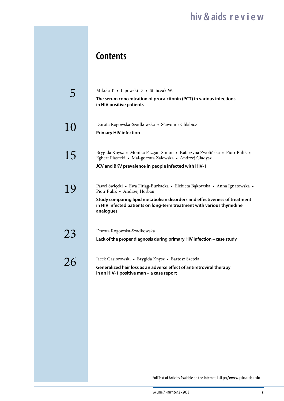# **Contents**

|    | Mikuła T. • Lipowski D. • Stańczak W.<br>The serum concentration of procalcitonin (PCT) in various infections<br>in HIV positive patients                                                                                                                                       |
|----|---------------------------------------------------------------------------------------------------------------------------------------------------------------------------------------------------------------------------------------------------------------------------------|
| 10 | Dorota Rogowska-Szadkowska • Sławomir Chlabicz<br><b>Primary HIV infection</b>                                                                                                                                                                                                  |
| 15 | Brygida Knysz • Monika Pazgan-Simon • Katarzyna Zwolińska • Piotr Pulik •<br>Egbert Piasecki • Mał-gorzata Zalewska • Andrzej Gładysz<br>JCV and BKV prevalence in people infected with HIV-1                                                                                   |
| 19 | Paweł Święcki • Ewa Firląg-Burkacka • Elżbieta Bąkowska • Anna Ignatowska •<br>Piotr Pulik · Andrzej Horban<br>Study comparing lipid metabolism disorders and effectiveness of treatment<br>in HIV infected patients on long-term treatment with various thymidine<br>analogues |
| 23 | Dorota Rogowska-Szadkowska<br>Lack of the proper diagnosis during primary HIV infection - case study                                                                                                                                                                            |
| 26 | Jacek Gasiorowski • Brygida Knysz • Bartosz Szetela<br>Generalized hair loss as an adverse effect of antiretroviral therapy<br>in an HIV-1 positive man – a case report                                                                                                         |

Full Text of Articles Avaiable on the Internet: **http://www.ptnaids.info**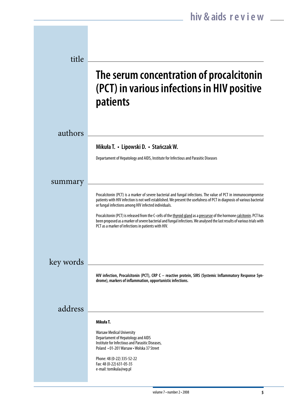| title     |                                                                                                                                                                                                                                                                                                            |
|-----------|------------------------------------------------------------------------------------------------------------------------------------------------------------------------------------------------------------------------------------------------------------------------------------------------------------|
|           | The serum concentration of procalcitonin<br>(PCT) in various infections in HIV positive<br>patients                                                                                                                                                                                                        |
| authors   |                                                                                                                                                                                                                                                                                                            |
|           | Mikuła T. • Lipowski D. • Stańczak W.                                                                                                                                                                                                                                                                      |
|           | Departament of Hepatology and AIDS, Institute for Infectious and Parasitic Diseases                                                                                                                                                                                                                        |
| summary   |                                                                                                                                                                                                                                                                                                            |
|           | Procalcitonin (PCT) is a marker of severe bacterial and fungal infections. The value of PCT in immunocompromise<br>patients with HIV infection is not well established. We present the usefulness of PCT in diagnosis of various bacterial<br>or fungal infections among HIV infected individuals.         |
|           | Procalcitonin (PCT) is released from the C-cells of the thyroid gland as a precursor of the hormone calcitonin. PCT has<br>been proposed as a marker of severe bacterial and fungal infections. We analysed the last results of various trials with<br>PCT as a marker of infections in patients with HIV. |
| key words |                                                                                                                                                                                                                                                                                                            |
|           | HIV infection, Procalcitonin (PCT), CRP C - reactive protein, SIRS (Systemic Inflammatory Response Syn-<br>drome), markers of inflammation, opportunistic infections.                                                                                                                                      |
| address   |                                                                                                                                                                                                                                                                                                            |
|           | Mikuła T.                                                                                                                                                                                                                                                                                                  |
|           | <b>Warsaw Medical University</b><br>Departament of Hepatology and AIDS<br>Institute for Infectious and Parasitic Diseases,<br>Poland • 01-201 Warsaw • Wolska 37 Street                                                                                                                                    |
|           | Phone: 48 (0-22) 335-52-22<br>Fax: 48 (0-22) 631-05-35<br>e-mail: tomikula@wp.pl                                                                                                                                                                                                                           |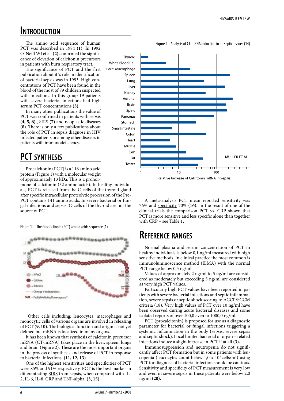### **Introduction**

The amino acid sequence of human PCT was described in 1984 **(1)**. In 1992 O`Neill WJ et al. **(2)** confirmed the significance of elevation of calcitonin precursors in patients with burn respiratory tract.

The significance of PCT and the first publication about it`s role in identification of bacterial sepsis was in 1993. High concentrations of PCT have been found in the blood of the most of 79 children suspected with infections. In this group 19 patients with severe bacterial infections had high serum PCT concentrations **(3).** 

In many other publications the value of PCT was confirmed in patients with sepsis **(4, 5, 6)** , SIRS **(7)** and neoplastic diseases **(8)**. There is only a few publications about the role of PCT in sepsis diagnose in HIV infected patients or among other diseases in patients with immunodeficiency.

### **PCT synthesis**

Procalcitonin (PCT) is a 116 amino acid protein (Figure 1) with a molecular weight of approximately 13 kDa. This is a prohor-

mone of calcitonin (32 amino acids). In healthy individuals, PCT is released from the C-cells of the thyroid gland after specific intracellular proteolytic procession of the Pre-PCT contains 141 amino acids. In severe bacterial or fungal infections and sepsis, C-cells of the thyroid are not the source of PCT.

Figure 1. The Procalcitonin (PCT) amino acids sequence (1)



Other cells including: leucocytes, macrophages and monocytic cells of various organs are involved in releasing of PCT (**9, 10)**. The biological function and origin is not yet defined but mRNA is localized in many organs.

It has been known that synthesis of calcitonin precursor mRNA (CT-mRNA) takes place in the liver, spleen, lungs and brain (Figure 2). These are the most important organs in the process of synthesis and release of PCT in response to bacterial infections. **(11, 12, 13)**

One of the highest sensitivities and specificities of PCT were 85% and 91% respectively. PCT is the best marker in differentiating SIRS from sepsis, when compared with IL-2, IL-6, IL-8, CRP and TNF-alpha. **(3, 15).** 



Figure 2. Analysis of CT-mRNA induction in all septic tissues (14)

A meta-analysis PCT mean reported sensitivity was 76% and specificity 70% **(16).** In the result of one of the clinical trials the comparison PCT vs. CRP shown that PCT is more sensitive and less specific alone than together with CRP – see Table 1**.**

### **Reference ranges**

Normal plasma and serum concentration of PCT in healthy individuals is below 0,1 ng/ml measured with high sensitive methods. In clinical practice the most common is immunoluminoscence method (ILMA) with the normal PCT range below 0,5 ng/ml.

Values of approximately 2 ng/ml to 5 ng/ml are considered as moderately but exceeding 5 ng/ml are considered as very high PCT values.

Particularly high PCT values have been reported in patients with severe bacterial infections and septic inflammation, severe sepsis or septic shock scoring to ACCP/SCCM criteria (18). Very high values of PCT over 10 ng/ml have been observed during acute bacterial diseases and some isolated reports of over 100,0 even to 1000,0 ng/ml.

PCT (procalcitonin) is proposed for use as a diagnostic parameter for bacterial or fungal infections triggering a systemic inflammation in the body (sepsis, severe sepsis and septic shock). Local limited bacterial or organ – related infections induce a slight increase in PCT if at all **(3).** 

Immunosuppression and neutropenia do not significantly affect PCT formation but in some patients with leucopenia (leucocytes count below  $1,0 \times 10^3$  cells/ml) using PCT for diagnose of bacterial infection should be cautious. Sensitivity and specificity of PCT measurement is very low and even in severe sepsis in these patients were below 2,0 ng/ml **(20).**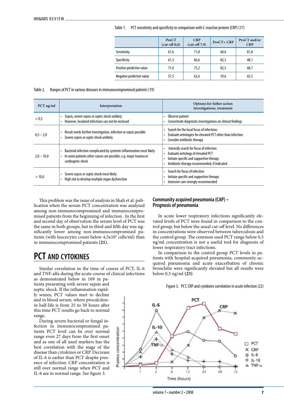|  | Table 1. PCT sensitivity and specificity in comparison with C-reactive protein (CRP) (17) |  |  |  |  |
|--|-------------------------------------------------------------------------------------------|--|--|--|--|
|--|-------------------------------------------------------------------------------------------|--|--|--|--|

|                           | ProCT<br>$(cut-off 0,6)$ | <b>CRP</b><br>$(cut-off 7,9)$ | ProCT+ CRP | ProCT and/or<br><b>CRP</b> |
|---------------------------|--------------------------|-------------------------------|------------|----------------------------|
| Sensitivity               | 67,6                     | 71,8                          | 60,0       | 81,8                       |
| Specificity               | 61,3                     | 66,6                          | 82,3       | 48,1                       |
| Positive predictive value | 71,0                     | 75,2                          | 82.5       | 68,7                       |
| Negative predictive value | 57,5                     | 62,6                          | 59,6       | 65,5                       |

#### Table 2. Ranges of PCT in various diseases in immunocompromised patients (19)

| $PCT$ ng/ml  | Interpretation                                                                                                                                                | Options for futher action<br>Investigations, treatment                                                                                                                    |
|--------------|---------------------------------------------------------------------------------------------------------------------------------------------------------------|---------------------------------------------------------------------------------------------------------------------------------------------------------------------------|
| < 0.5        | Sepsis, severe sepsis or septic shock unlikely<br>However, localized infections can not be exclused                                                           | Observe patient<br>Concentrate diagnostic investigations on clinical findings                                                                                             |
| $0,5 - 2,0$  | Result needs further investigation, infection or sepsis possible<br>Severe sepsis or septic shock unlikely                                                    | Search for the local focus of infections<br>Evaluate aetiologies for elevated PCT other than infection<br>Consider antibiotic therapy                                     |
| $2,0 - 10,0$ | Bacterial infection complicated by systemic inflammation most likely<br>In some patients other causes are possible, e.g. major trauma or<br>cardiogenic shock | Intensify search for focus of infection<br>Evaluate aetiology of elevated PCT<br>Initiate specific and supportive therapy<br>Antibiotic therapy recommended, if indicated |
| >10,0        | Severe sepsis or septic shock most likely<br>High risk to develop multiple organ dysfunction                                                                  | Search for focus of infection<br>Initiate specific and supportive therapy<br>Intensive care strongly recommended                                                          |

This problem was the issue of analysis in Shah et al. publication when the serum PCT concentration was analysed among non-immunocompromised and immunocompromised patients from the beginning of infection . In the first and second day of observation the serum level of PCT was the same in both groups, but in third and fifth day was significantly lower among non-immunocompromised patients (with leucocytes count below 4,5x10<sup>3</sup> cells/ml) than in immunocompromised patients **(21).** 

### **Community acquired pneumonia (CAP) – Prognosis of pneumonia**

In acute lower respiratory infections significantly elevated levels of PCT were found in comparison to the control group, but below the usual cut-off level. No differences in concentrations were observed between tuberculosis and the control group. The common used PCT range below 0,5 ng/ml concentration is not a useful tool for diagnosis of lower respiratory tract infections.

In comparison to the control group PCT levels in patients with hospital-acquired pneumonia, community-acquired pneumonia and acute exacerbation of chronic bronchitis were significantly elevated but all results were below 0,5 ng/ml **(23)**

Figure 3. PCT, CRP and cytokines correlation in acute infection (22)



### **PCT and cytokines**

Similar correlation in the time of course of PCT, IL-6 and TNF-alfa during the acute course of clinical infections

as demonstrated below in 169 in patients presenting with severe sepsis and septic shock. If the inflammation rapidly wanes, PCT values start to decline and in blood serum, where procalcitonin half-life is from 25 to 30 hours after this time PCT results go back to normal range.

During severe bacterial or fungal infection in immunocompromised patients PCT level can be over normal range even 27 days from the first onset and as one of all used markers has the best correlation with the stage of the disease than cytokines or CRP. Decrease of IL-6 is earlier than PCT despite presence of infection. CRP concentration is still over normal range when PCT and IL-6 are in normal range. See figure 3.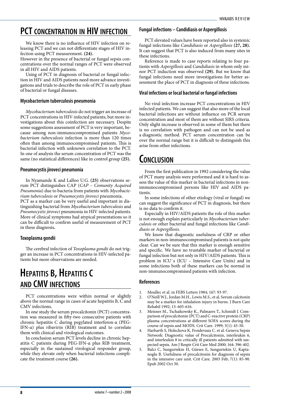### **PCT concentration in HIV infection**

We know there is no influence of HIV infection on releasing PCT and we can not differentiate stages of HIV infection using PCT measurement. **(24).**

However in the presence of bacterial or fungal sepsis concentrations over the normal ranges of PCT were observed in all HIV and AIDS patients.

Using of PCT in diagnosis of bacterial or fungal infection in HIV and AIDS patients need more advance investigations and trials to describe the role of PCT in early phase of bacterial or fungal diseases.

#### **Mycobacterium tuberculosis pneumonia**

 *Mycobacterium tuberculosis* do not trigger an increase of PCT concentrations in HIV-infected patients, but more investigations about this coinfection are necessary. Despite some suggestions assessment of PCT is very important, because among non-immunocompromised patients *Mycobacterium tuberculosis* infection is more than 120 times often than among immunocompromised patients. This is bacterial infection with unknown correlation to the PCT. In one of analysis the serum concentration of PCT was the same (no statistical differences) like in control group **(25).**

#### **Pneumocystis jiroveci pneumonia**

In Nyamande K and Lalloo U.G. **(25)** observations serum PCT distinguishes CAP (*CAP – Comunity Acquired Pneumonia*) due to bacteria from patients with *Mycobacterium tuberculosis* or *Pneumocystis jiroveci* pneumonia. PCT as a marker can be very useful and important in distinguishing bacterial from *Mycobacterium tuberculosis* and *Pneumocystis jiroveci* pneumonia in HIV infected patients. More of clinical symptoms had atypical presentations so it can be difficult to confirm useful of measurement of PCT in these diagnosis**.**

### **Toxoplasma gondii**

The cerebral infection of *Toxoplasma gondii* do not trigger an increase in PCT concentrations in HIV-infected patients but more observations are needed.

## **HEPATITIS B, HEPATITIS C and CMV infections**

PCT concentrations were within normal or slightly above the normal range in cases of acute hepatitis B, C and CMV infections.

In one study the serum procalcitonin (PCT) concentration was measured in fifty-two consecutive patients with chronic hepatitis C during pegylated interferon-α (PEG-IFN-α) plus ribavirin (RIB) treatment and to correlate them with clinical and virological outcomes.

In conclusion serum PCT levels decline in chronic hepatitis C patients during PEG-IFN-α plus RIB treatment, especially in the sustained virological responder group, while they elevate only when bacterial infections complicate the treatment course **(26).**

### **Fungal infections – Candidiasis or Aspergillosis**

PCT elevated values have been reported also in systemic fungal infections like *Candidiasis* or *Aspergillosis* **(27, 28).** It can suggest that PCT is also induced from many sites in these infections.

Reference is made to case reports relating to four patients with *Aspergillosis* and *Candidiasis* in whom only minor PCT induction was observed **(29).** But we know that fungal infections need more investigations for better assessment the place of PCT in diagnosis of these infections.

#### **Viral infections or local bacterial or fungal infections**

No viral infection increase PCT concentrations in HIV infected patients. We can suggest that also more of the local bacterial infections are without influence on PCR serum concentration and most of them are without SIRS criteria. Only slight increase is observed in some of them but there is no correlation with pathogen and can not be used as a diagnostic method. PCT serum concentration can be over the normal range but it is difficult to distinguish this arise from other infections.

### **Conclusion**

From the first publication in 1992 considering the value of PCT many analysis were performed and it is hard to assess the value of this marker in bacterial infections in nonimmunocompromised persons like HIV and AIDS patients.

In some infections of other etiology (viral or fungal) we can suggest the significance of PCT in diagnosis, but there is no data to confirm it.

Especially in HIV/AIDS patients the role of this marker is not enough explain particularly in *Mycobacterium tuberculosis* or other bacterial and fungal infections like *Candidiasis* or *Aspergillosis*.

We know that diagnostic usefulness of CRP or other markers in non-immunocompromised patients is not quite clear. Can we be sure that this marker is enough sensitive and specific. We have no trustable marker of bacterial or fungal infection but not only in HIV/AIDS patients. This is problem in ICU`s (ICU – Intensive Care Units) and in some infections both of these markers can be normal in non-immunocompromised patients with infection.

### **References**

- 1. Moullec et al. in FEBS Letters 1984; 167: 93-97.
- 2. O'Neill W.J., Jordan M.H., Lewis M.S., et al. Serum calcitonin may be a marker for inhalation injury in burns. J Burn Care Rehabil 1992; 13: 605-616.
- 3. Meisner M., Tschaikowsky K., Palmaers T., Schmidt J. Comparison of procalcitonin (PCT) and C-reactive protein (CRP) plasma concentrations at different SOFA scores during the course of sepsis and MODS. Crit Care. 1999; 3(1): 45-50.
- Harbarth S, Holeckova K, Froidevaux C. et al. Geneva Sepsis Network: Diagnostic value of Procalcitonin, interleukin 6, and interleukin 8 in critically ill patients admitted with suspected sepsis. Am J Respir Crit Care Med 2000; 164: 396-402.
- 5. Balci C, Sungurtekin H, Gürses E, Sungurtekin U, Kaptanoglu B. Usefulness of procalcitonin for diagnosis of sepsis in the intensive care unit. Crit Care. 2003 Feb; 7(1): 85-90. Epub 2002 Oct 30.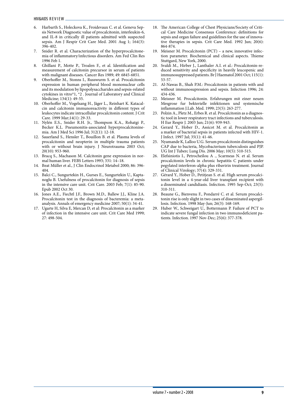- 6. Harbarth S., Holeckova K., Froidevaux C. et al. Geneva Sepsis Network Diagnostic value of procalcitonin, interleukin-6, and IL-8 in critically ill patients admitted with suspected sepsis. Am J Respir Crit Care Med. 2001 Aug 1; 164(3): 396-402.
- 7. Snider R. et al. Characterization of the hyperprocalcitonemia of inflammatory/infectious disorders. Am Fed Clin Res 1996 Feb 1.
- 8. Ghillani P., Motte P., Troalen F., et al. Identification and measurement of calcitonin precursor in serum of patients with malignant diseases. Cancer Res 1989; 49: 6845-6851.
- 9. Oberhoffer M., Stonns I., Russwurm S. et al. Procalcitonin expression in human peripheral blood mononuclear cells and its modulation by lipopolysaccharides and sepsis-related cytokines in vitro\*1, \*2 . Journal of Laboratory and Clinical Medicine; 134(1): 49-55.
- 10. Oberhoffer M., Vogelsang H., Jäger L., Reinhart K. Katacalcin and calcitonin immunoreactivity in different types of leukocytes indicate intracellular procalcitonin content. J Crit Care. 1999 Mar;14(1): 29-33.
- 11. Nylén E.S., Snider R.H. Jr., Thompson K.A., Rohatgi P., Becker K.L. Pneumonitis-associated hyperprocalcitoninemia. Am J Med Sci 1996 Jul; 312(1): 12-18.
- 12. Sauerland S., Hensler T., Bouillon B. et al. Plasma levels of procalcitonin and neopterin in multiple trauma patients with or without brain injury. J Neurotrauma 2003 Oct; 20(10): 953-960.
- 13. Bracq S., Machason M. Calcitonin gene expression in normal human liver. FEBS Letters 1993; 331: 14–18.
- 14. Beat Müller et al., J Clin Endocrinol Metabol 2000; 86: 396- 404.
- 15. Balci C., Sungurtekin H., Gurses E., Sungurtekin U., Kaptanoglu B. Usefulness of procalcitonin for diagnosis of sepsis in the intensive care unit. Crit Care. 2003 Feb; 7(1): 85-90. Epub 2002 Oct 30.
- 16. Jones A.E., Fiechtl J.F., Brown M.D., Ballew J.J., Kline J.A. Procalcitonin test in the diagnosis of bacteremia: a metaanalysis. Annals of emergency medicine 2007; 50(1): 34-41.
- 17. Ugarte H, Silva E, Mercan D, et al: Procalcitonin as a marker of infection in the intensive care unit. Crit Care Med 1999; 27: 498-504.
- 18. The American College of Chest Physicians/Society of Critical Care Medicine Consensus Conference: definitions for sepsis and organ failure and guidelines for the use of innovative therapies in sepsis. Crit Care Med. 1992 Jun; 20(6): 864-874.
- 19. Meisner M. Procalcitonin (PCT) a new, innovative infection parameter. Biochemical and clinical aspects. Thieme Stuttgard, New York, 2000.
- 20. Svaldi M., Hirber J., Lanthaler A.I. et al.: Procalcitonin-reduced sensitivity and specificity in heavily leucopenic and immunosuppressed patients. Br J Haematol 2001 Oct; 115(1): 53-57.
- 21. Al-Nawas B., Shah P.M.: Procalcitonin in patients with and without immunosupression and sepsis. Infection 1996; 24: 434-436.
- 22. Meisner M. Procalcitonin. Erfahrungen mit einer neuen Mesgrose fur bekterielle infektionen und systemische inflammation J.Lab. Med. 1999; 23(5): 263-277.
- 23. Polzin A., Pletz M., Erbes R. et al. Procalcitonin as a diagnostic tool in lower respiratory tract infections and tuberculosis. H Eur Respir J. 2003 Jun; 21(6): 939-943.
- 24. Gerard Y., Hober D., Assicot M. et al. Procalcitonin as a marker of bacterial sepsis in patients infected with HIV-1. J Infect. 1997 Jul; 35(1): 41-46.
- 25. Nyamande K, Lalloo U.G. Serum procalcitonin distinguishes CAP due to bacteria, Mycobacterium tuberculosis and PJP. UG Int J Tuberc Lung Dis. 2006 May; 10(5): 510-515.
- 26. Elefsiniotis I., Petrocheilou A ., Scarmeas N. et al. Serum procalcitonin levels in chronic hepatitis C patients under pegylated interferon-alpha plus ribavirin treatment. Journal of Clinical Virology; 37(4): 329-331.
- 27. Gérard Y., Hober D., Petitjean S. et al. High serum procalcitonin level in a 4-year-old liver transplant recipient with a disseminated candidiasis. Infection. 1995 Sep-Oct; 23(5): 310-311.
- 28. Beaune G., Bienvenu F., Pondarré C. et al. Serum procalcitonin rise is only slight in two cases of disseminated aspergillosis. Infection. 1998 May-Jun; 26(3): 168-169.
- 29. Huber W., Schweigart U., Bottermann P. Failure of PCT to indicate severe fungal infection in two immunodeficient patients. Infection. 1997 Nov-Dec; 25(6): 377-378.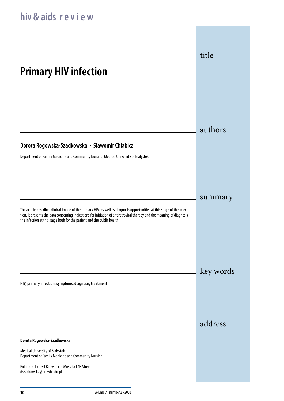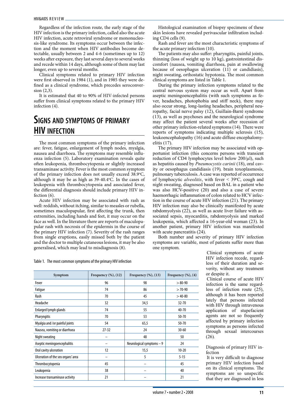Regardless of the infection route, the early stage of the HIV infection is the primary infection, called also the acute HIV infection, acute retroviral syndrome or mononucleosis-like syndrome. Its symptoms occur between the infection and the moment when HIV antibodies become detectable, usually between 2 and 4-6 (sometimes up to 12) weeks after exposure, they last several days to several weeks and recede within 14 days, although some of them may last longer, even up to several months.

Clinical symptoms related to primary HIV infection were first observed in 1984 (1), and in 1985 they were defined as a clinical syndrome, which precedes seroconversion (2,3).

It is estimated that 40 to 90% of HIV-infected persons suffer from clinical symptoms related to the primary HIV infection (4).

### **Signs and symptoms of primary HIV infection**

The most common symptoms of the primary infection are: fever, fatigue, enlargement of lymph nodes, myalgia, nausea and diarrhoea. The symptoms may resemble influenza infection (5). Laboratory examination reveals quite often leukopenia, thrombocytopenia or slightly increased transaminase activity. Fever is the most common symptom of the primary infection does not usually exceed 38.9°C, although it may be as high as 39-40.4°C. In the cases of leukopenia with thrombocytopenia and associated fever, the differential diagnosis should include primary HIV infection (6).

Acute HIV infection may be associated with rash as well: reddish, without itching, similar to measles or rubella, sometimes maculopapular, first affecting the trunk, then extremities, including hands and feet, it may occur on the face as well. In the literature there are reports of maculopapular rash with necrosis of the epidermis in the course of the primary HIV infection (7). Severity of the rash ranges from single eruptions, easily missed both by the patient and the doctor to multiple cutaneous lesions, it may be also generalised, which may lead to misdiagnosis (8).

Table 1. The most common symptoms of the primary HIV infection

| Symptom                            | Frequency $(\%)$ , $(12)$ | Frequency $(\%)$ , $(13)$  | Frequency $(\%)$ , $(4)$ |
|------------------------------------|---------------------------|----------------------------|--------------------------|
| Fever                              | 96                        | 98                         | $> 80 - 90$              |
| Fatigue                            | 74                        | 86                         | $>70-90$                 |
| <b>Rash</b>                        | 70                        | 45                         | $>40-80$                 |
| Headache                           | 32                        | 34,5                       | 32-70                    |
| Enlarged lymph glands              | 74                        | 55                         | 40-70                    |
| <b>Pharyngitis</b>                 | 70                        | 53                         | $50 - 70$                |
| Myalgia and /or painful joints     | 54                        | 65,5                       | $50 - 70$                |
| Nausea, vomiting or diarrhoea      | $27 - 32$                 | 24                         | $30 - 60$                |
| Night sweating                     |                           | 48                         | 50                       |
| Aseptic meningoencephalitis        |                           | Neurological symptoms $-9$ | 24                       |
| Oral cavity ulceration             | 12                        | 15,5                       | $10 - 20$                |
| Ulceration of the sex organs' area |                           | 5                          | $5 - 15$                 |
| Thrombocytopenia                   | 45                        |                            | 45                       |
| Leukopenia                         | 38                        |                            | 40                       |
| Increase transaminase activity     | 21                        |                            | 21                       |

Histological examination of biopsy specimens of these skin lesions have revealed perivascular infiltration including CD4 cells (9).

Rash and fever are the most characteristic symptoms of the acute primary infection (10)*.*

The patients may also suffer: pharyngitis, painful joints, thinning (loss of weight up to 10 kg), gastrointestinal discomfort (nausea, vomiting diarrhoea, pain at swallowing because of oesophagus ulceration  $(11)$  or candidiasis), night sweating, orthostatic hypotonia. The most common clinical symptoms are listed in Table 1.

 During the primary infection symptoms related to the central nervous system may occur as well. Apart from aseptic meningoencephalitis (with such symptoms as fever, headaches, photophobia and stiff neck), there may also occur strong, long-lasting headaches, peripheral neuropathy, facial nerve palsy (12), Guillain-Barré syndrome (13), as well as psychoses and the neurological syndrome may affect the patient several weeks after recession of other primary infection-related symptoms(14)*.* There were reports of symptoms indicating multiple sclerosis (15), leukoencephalopathy (16) and acute diffuse encephalomyelitis (17).

 The primary HIV infection may be associated with opportunist infection (this concerns persons with transient reduction of CD4 lymphocytes level below 200/µl), such as hepatitis caused by *Pneumocystis carinii* (18), oral cavity or oesophagus candidiasis (19)*,* brain toxoplasmosis, pulmonary tuberculosis.Acase was reported of occurrence of lymphocytic *alveolitis*, with fever  $\leq 39^{\circ}$ C, cough and night sweating, diagnosed based on BAL in a patient who was also HCV-positive (20) and also a case of severe haemorrhagic inflammation of colon related to HCV infection in the course of acute HIV infection (21). The primary HIV infection may also be clinically manifested by acute rabdomyolysis (22), as well as acute liver failure with associated sepsis, myocarditis, rabdomyolysis and marked leukopenia, which affected a 16-year-old woman (23). In another patient, primary HIV infection was manifested with acute pancreatitis  $(24)$ .

 Both number and severity of primary HIV infection symptoms are variable, most of patients suffer more than one symptom.

 Clinical symptoms of acute HIV infection recede, regardless of their duration and severity, without any treatment or despite it.

 Clinical course of acute HIV infection is the same regardless of infection route (25), although it has been reported lately that persons infected with HIV through intravenous application of stupefacient agents are not so frequently affected by primary infection symptoms as persons infected through sexual intercourses (26)*.*

Diagnosis of primary HIV infection

It is very difficult to diagnose primary HIV infection based on its clinical symptoms. The symptoms are so unspecific that they are diagnosed in less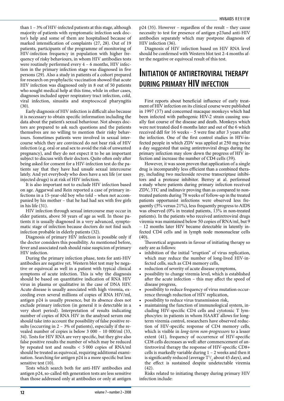than 1 – 3% of HIV-infected patients at this stage, although majority of patients with symptomatic infection seek doctor's help and some of them are hospitalised because of marked intensification of complaints (27, 28). Out of 19 patients, participants of the programme of monitoring of HIV-infection frequency in population with higher frequency of risky behaviours, in whom HIV antibodies tests were routinely performed every 4 – 6 months, HIV infection in the primary infection stage was diagnosed in five persons (29)*.* Also a study in patients of a cohort prepared for research on prophylactic vaccination showed that acute HIV infection was diagnosed only in 8 out of 50 patients who sought medical help at this time, while in other cases, diagnoses included upper respiratory tract infection, cold, viral infection, sinusitis and streptococcal pharyngitis (30)*.*

Early diagnosis of HIV infection is difficult also because it is necessary to obtain specific information including the data about the patient's sexual behaviour. Not always doctors are prepared to ask such questions and the patients themselves are no willing to mention their risky behaviours. Sometimes patients were involved in sexual intercourse which they are convinced do not bear risk of HIV infection (e.g. oral or anal sex to avoid the risk of unwanted pregnancy), and they do not expect it to be an important subject to discuss with their doctors. Quite often only after being asked for consent for a HIV-infection test do the patients say that they have had unsafe sexual intercourse lately. And yet everybody who does have a sex life (or uses injected drugs) is at risk of HIV infection.

It is also important not to exclude HIV infection based on age. Aggarwal and Rein reported a case of primary infections in a 15-year-old boy who told – when not accompanied by his mother – that he had had sex with five girls in his life (31).

HIV infection through sexual intercourse may occur in elder patients, above 50 years of age as well. In those patients it is usually diagnosed in a very advanced, symptomatic stage of infection because doctors do not find such infection probable in elderly patients (32).

Diagnosis of primary HIV infection is possible only if the doctor considers this possibility. As mentioned before, fever and associated rash should raise suspicion of primary HIV infection.

During the primary infection phase, tests for anti-HIV antibodies are negative yet. Western blot test may be negative or equivocal as well in a patient with typical clinical symptoms of acute infection. This is why the diagnosis should be based on quantitative indication of RNA HIV virus in plasma or qualitative in the case of DNA HIV. Acute disease is usually associated with high viremia, exceeding even several millions of copies of RNA HIV/ml, antigen p24 is usually presence, but its absence does not exclude primary infection (in general it is detectable in a very short period). Interpretation of results indicating number of copies of RNA HIV in the analysed serum one should take into account the possibility of false positive results (occurring in 2 – 3% of patients), especially if the revealed number of copies is below 3 000 – 10 000/ml (33, 34). Tests for HIV RNA are very specific, but they give also false positive results the number of which may be reduced by repeated test and results < 5 000 copies of RNA/ml should be treated as equivocal, requiring additional examination. Searching for antigen p24 is a more specific but less sensitive test (10).

Tests which search both for anti-HIV antibodies and antigen p24, so-called 4th generation tests are less sensitive than those addressed only at antibodies or only at antigen p24 (35). However – regardless of the result – they cause necessity to test for presence of antigen p23and anti-HIV antibodies separately which may postpone diagnosis of HIV infection (36).

Diagnosis of HIV infection based on HIV RNA level should be confirmed with Western blot test 2-4 months after the negative or equivocal result of this test.

### **Initiation of antiretroviral therapy during primary HIV infection**

First reports about beneficial influence of early treatment of HIV infection on its clinical course were published in 1997 (37) and concerned macaque monkeys which had been infected with pathogenic HIV-2 strain causing usually fast course of the disease and death. Monkeys which were not treated died 6 months later and out of the 6 which received ddI for 16 weeks – 5 were fine after 3 years after the infection. One of the first control studies in HIV-infected people in which ZDV was applied at 250 mg twice a day suggested that using antiretroviral drugs during the primary infection may slow down the progress of HIV infection and increase the number of CD4 cells (39).

 However, it was soon proven that application of a single drug is incomparably less efficient than a combined therapy, including two nucleoside reverse transcriptase inhibitors and a protease inhibitor. Berrey at al. performed a study where patients during primary infection received ZDV, 3TC and indinavir proving than as compared to nontreated patients during 78 weeks of follow-up in the treated patients opportunist infections were observed less frequently (5% versus 21%), less frequently progress to AIDS was observed (0% in treated patients, 13% in non-treated patients). In the patients who received antiretroviral drugs viremia was maintained below 50 copies of RNA/ml, but 9 – 12 months later HIV became detectable in latently infected CD4 cells and in lymph node mononuclear cells (40).

Theoretical arguments in favour of initiating therapy so early are as follows:

- inhibition of the initial "eruption" of virus replication, which may reduce the number of long-lived HIV-infected cells, such as CD4 memory cells,
- reduction of severity of acute disease symptoms,
- possibility to change viremia level, which is established after the acute infection – this may affect the speed of disease progress,
- possibility to reduce frequency of virus mutation occurrence through reduction of HIV replication,
- possibility to reduce virus transmission risk,
- maintaining the function of immunological system, including HIV-specific CD4 cells and cytotoxic T lymphocytes: in patients in whom HAART allows for longterm viremia control, researchers have observed reduction of HIV-specific response of CD4 memory cells, which is visible in *long-term non-progressors* to a lesser extent (41)*,* frequency of occurrence of HIV-specific CD8 cells decreases as well: after commencement of antiretroviral therapy the response of HIV-specific CD8+ cells is markedly variable during 1 – 2 weeks and then it is significantly reduced (average  $T^{1/2}$  about 45 days), and the effect is sustained despite undetectable viremia (42).

Risks related to initiating therapy during primary HIV infection include: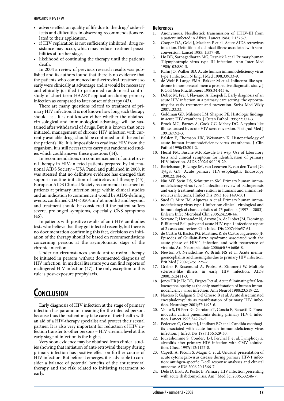- adverse effect on quality of life due to the drugs' side-effects and difficulties in observing recommendations related to their application,
- if HIV replication is not sufficiently inhibited, drug resistance may occur, which may reduce treatment possibilities at further stage,
- likelihood of continuing the therapy until the patient's death.

In 2004 a review of previous research results was published and its authors found that there is no evidence that the patients who commenced anti-retroviral treatment so early were clinically at advantage and it would be necessary and ethically justified to performed randomised control study of short-term HAART application during primary infection as compared to later onset of therapy (43).

There are many questions related to treatment of primary HIV infection. It is not known how long such therapy should last. It is not known either whether the obtained virusological and immunological advantage will be sustained after withdrawal of drugs. But it is known that once initiated, management of chronic HIV infection with currently available drugs should be continued until the end of the patient's life. It is impossible to eradicate HIV from the organism. It is still necessary to carry out randomised studies which could answer these questions (44).

In recommendations on commencement of antiretroviral therapy in HIV-infected patients prepared by International AIDS Society – USA Panel and published in 2008, it was stressed that no definitive evidence has emerged that supports routine initiation of antiretroviral therapy (45). European AIDS Clinical Society recommends treatment of patients at primary infection stage within clinical studies and an indication to commence it would be AIDS-defining events, confirmed CD4 < 350/mm3 at month 3 and beyond, and treatment should be considered if the patient suffers severe, prolonged symptoms, especially CNS symptoms (46).

In patients with positive results of anti-HIV antibodies tests who believe that they got infected recently, but there is no documentation confirming this fact, decisions on initiation of the therapy should be based on recommendations concerning persons at the asymptomatic stage of the chronic infection.

Under no circumstances should antiretroviral therapy be initiated in persons without documented diagnosis of HIV infection. In medical literature you can find reports of malingered HIV infection (47). The only exception to this rule is post-exposure prophylaxis.

# **Conclusion**

Early diagnosis of HIV infection at the stage of primary infection has paramount meaning for the infected person, because thus the patient may take care of their health with an aid of a HIV-therapy specialist and protect their sexual partner. It is also very important for reduction of HIV infection transfer to other persons – HIV viremia level at this early stage of infection is the highest.

Very soon evidence may be obtained from clinical studies showing that initiation of anti-retroviral therapy during primary infection has positive effect on further course of HIV infection. But before it emerges, it is advisable to consider a balance of potential benefits of the antiretroviral therapy and the risk related to initiating treatment so early.

### **References**<br>1. Anonyi

- 1. Anonymous. Needlestick transmission of HTLV-III from a patient infected in Africa. Lancet 1984; 2:1376-7.
- 2. Cooper DA, Gold J, Maclean P et al. Acute AIDS retrovirus infection. Definition of a clinical illness associated with seroconversion. Lancet 1985; 1:537-40.
- 3. Ho DD, Sarnagadharan MG, Resnick L et al. Primary human T-lymphotropic virus type III infection. Ann Inter Med 1985;103:880-3.
- 4. Kahn JO, Walker BD. Acute human immunodeficiency virus type 1 infection. N Engl J Med 1998;339:33-9.
- 5. de Wolf F, Lange FMA, Bakker M et al. Influenza-like syndrome in homosexual men: a prospective diagnostic study. J R Coll Gen Practitioners 1988;34:443-6.
- 6. Dobec M, Frei J, Flaviano A, Kaepeli F. Early diagnosis of an acute HIV infection in a primary care setting: the opportunity for early treatment and prevention. Swiss Med Wkly 2007;133:33.
- 7. Goldman GD, Milstone LM, Shapiro PE. Histologic findings in acute HIV exanthem. J Cutan Pathol 1995;22:371-3.
- 8. Brook MG, Barnes A, Cook GC, Mabey DC. A typhus-like illness caused by acute HIV seroconversion. Postgrad Med J 1991;67:92-3.
- 9. Balslev E, Thomson HK, Weismann K. Histopathology of acute human immunodeficiency virus exanthema. J Clin Pathol 1990;43:201-2.
- 10. Hecht FM, Busche MP, Rawale B i wsp. Use of laboratory tests and clinical symptoms for identification of primary HIV infection. AIDS 2002;16:1119-29.
- 11. Bartelsman JF, Lange JM, van Leeuwen R, van den Tweel JG, Tytgat GN. Acute primary HIV-esophagitis. Endoscopy 1990;22:184-5.
- 12. Niu MT, Stein DS, Schnittman SM. Primary human immunodeficiency virus type 1 infection: review of pathogenesis and early treatment intervention in humans and animal retrovirus infections. J Infect Dis 1993;168:1490-501.
- 13. Sued O, Miro JM, Alquezar A et al. Primary human immunodeficiency virus type 1 infection: clinical, virological and immunological characteristics of 75 patients (1997 – 2003). Enferm Infec Microbial Clin 2006;24:238-44.
- 14. Serrano P, Hernandez N, Arroyo JA, de Liobet JM, Domingo P. Bilateral Bell palsy and acute HIV type 1 infection: report of 2 cases and review. Clin Infect Dis 2007;44:e57-61.
- 15. de Castro G, Bastos PG, Martinez R, de Castro Figueiredo JF. Episodes of Guillain-Barre syndrome associated with the acute phase of HIV-1 infection and with recurrence of viremia. Arq Neuropsiquiatr 2006;64(3A):606-8.
- 16. Newton PJ, Newsholme W, Brink NS et al. Acute meningoencephalitis and meningitis due to primary HIV infection. Brit Med J 2002;325:1225-7.
- 17. Graber P, Rosemund A, Probst A, Zimmerli W. Multiple sclerosis-like illness in early HIV infection. AIDS 2000;15:2411-3.
- 18. Jones HR Jr, Ho DD, Firgacs P et al. Acute fulminating fatal leukoencephalopathy as the only manifestation of human immunodeficiency virus infection. Ann Neurol 1988;23:519-22.
- 19. Narciso P, Galgani S, Del Grosso B et al. Acute disseminated encephalomyelitis as manifestation of primary HIV infection. Neurology 2001;57:1493-6.
- 20. Vento S, Di Perri G, Garofano T, Concia E, Bassetti D. Pneumocystis carinii pneumonia during primary HIV-1 infection. Lancet 1993;342:24-5.
- 21. Pedersen C, Gerstoft J, Lindhart BO et al. Candida esophagitis associated with acute human immunodeficiency virus infection. J Infect Dis 1987;156:529-30.
- 22. Jouveshomme S, Couderc L-J, Ferchal F et al. Lymphocytic alveolitis after primary HIV infection with CMV coinfection. Chect 1997;112:1127-8.
- 23. Capetti A, Piconi S, Magni C et al. Unusual presentation of acute cytomegalovirus disease during primary HIV-1 infection: antihgen-specific T-cell response analyses and clinical outcome. AIDS 2006;20:1566-7.
- 24. Delo D, Brutt A, Postic B. Primary HIV infection presenting with acute rhabdomyolisis. Am J Med Sci 2006;332:46-7.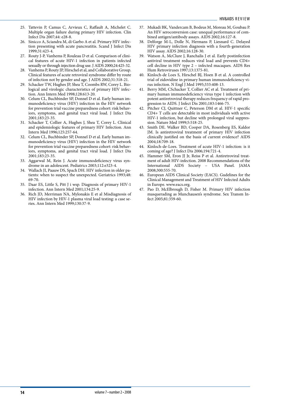- 25. Tattevin P, Camus C, Arvieux C, Raffault A, Michelet C. Multiple organ failure during primary HIV infection. Clin Infect Dis 2007;44: e28-8.
- 26. Sinicco A, Sciandra M, di Garbo A et al. Primary HIV infection presenting with acute pancreatitis. Scand J Infect Dis 1999;31:423-4.
- 27. Routy J-P, Vanhems P, Rouleau D et al. Comparison of clinical features of acute HIV-1 infection in patients infected sexually or through injection drug use. J AIDS 2000;24:425-32.
- 28. Vanhems P, Routy JP, Hirschel et al, and Collaborative Group. Clinical features of acute retroviral syndrome differ by route of infection not by gender and age. J AIDS 2002;31:318-21.
- 29. Schacker TW, Hughes JP, Shea T, Coombs RW, Corey L. Biological and virologic characteristics of primary HIV infection. Ann Intern Med 1998;128:613-20.
- 30. Celum CL, Buchbinder SP, Donnel D et al. Early human immunodeficiency virus (HIV) infection in the HIV network for prevention trial vaccine preparedness cohort: risk behaviors, symptoms, and genital tract viral load. J Infect Dis 2001;183:23-35.
- 31. Schacker T, Collier A, Hughes J, Shea T, Corey L. Clinical and epidemiologic features of primary HIV Infection. Ann Intern Med 1996;125:257-64.
- 32. Celum CL, Buchbinder SP, Donnel D et al. Early human immunodeficiency virus (HIV) infection in the HIV network for prevention trial vaccine preparedness cohort: risk behaviors, symptoms, and genital tract viral load. J Infect Dis 2001;183:23-35.
- 33. Aggarwal M, Rein J. Acute immunodeficiency virus syndrome in an adolescent. Pediatrics 2003;112:e323-4.
- 34. Wallach JI, Paauw DS, Spach DH. HIV infection in older patients: when to suspect the unexpected. Geriatrics 1993;48: 69-70.
- 35. Daar ES, Little S, Pitt J i wsp. Diagnosis of primary HIV-1 infection. Ann Intern Med 2001;134:25-9.
- 36. Rich JD, Merriman NA, Mylonakis E et al Misdiagnosis of HIV infection by HIV-1 plasma viral load testing: a case series. Ann Intern Med 1999;130:37-9.
- 37. Mukadi BK, Vandercam B, Bodeus M, Moreau M, Goubau P. An HIV seroconversion case: unequal performance of combined antigen/antibody assays. AIDS 2002;16:127-8.
- 38. Delforge M-L, Dolle N, Hermans P, Liesnard C. Delayed HIV primary infection diagnosis with a fourth-generation HIV assay. AIDS 2002;16:128-30.
- 39. Watson A, McClure J, Ranchalis J et al. Early postinfection antiviral treatment reduces viral load and prevents CD4+ cell decline in HIV type 2 – infected macaques. AIDS Res Hum Retroviruses 1997;13:1375-81.
- 40. Kinloch-de Loes S, Hirschel BJ, Hoen B et al. A controlled trial of zidovidine in primary human immunodeficiency virus infection. N Engl J Med 1995;333:408-13.
- 41. Berry MM, CSchacker T, Collier AC et al. Treatment of primary human immunodeficiency virus type 1 infection with potent antiretroviral therapy reduces frequency of rapid progression to AIDS. J Infect Dis 2001;183:1466-75.
- 42. Pitcher CJ, Quittner C, Peterson DM et al. HIV-1 specific CD4+ T cells are detectable in most individuals with active HIV-1 infection, but decline with prolonged viral suppression. Nature Med 1999;5:518-25.
- 43. Smith DE. Walker BD, Cooper DA, Rosenberg ES, Kaldor JM. Is antiretroviral treatment of primary HIV infection clinically justified on the basis of current evidence? AIDS 2004;18:709-18.
- 44. Kinloch-de-Loes. Treatment of acute HIV-1 infection: is it coming of age? J Infect Dis 2006;194:721-4.
- 45. Hammer SM, Eron JJ Jr, Reiss P et al. Antiretroviral treatment of adult HIV-infection. 2008 Recommendations of the International AIDS Society – USA Panel. JAMA 2008;300:555-70.
- 46. European AIDS Clinical Society (EACS). Gudelines for the Clinical Management and Treatment of HIV Infected Adults in Europe. www.eacs.org.
- 47. Pao D, McElbrough D, Fisher M. Primary HIV infection masquerading as Munchausen's syndrome. Sex Transm Infect 2005;81:359-60.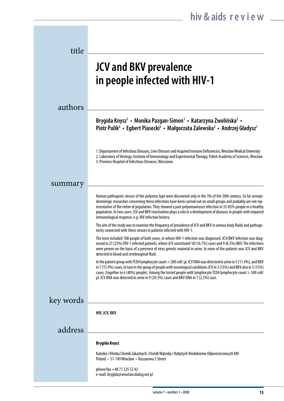| title     |                                                                                                                                                                                                                                                                                                                                                                                                                                                                                                                                             |
|-----------|---------------------------------------------------------------------------------------------------------------------------------------------------------------------------------------------------------------------------------------------------------------------------------------------------------------------------------------------------------------------------------------------------------------------------------------------------------------------------------------------------------------------------------------------|
|           | <b>JCV and BKV prevalence</b><br>in people infected with HIV-1                                                                                                                                                                                                                                                                                                                                                                                                                                                                              |
| authors   |                                                                                                                                                                                                                                                                                                                                                                                                                                                                                                                                             |
|           | Brygida Knysz <sup>1</sup> • Monika Pazgan-Simon <sup>1</sup> • Katarzyna Zwolińska <sup>2</sup> •<br>Piotr Pulik <sup>3</sup> • Egbert Piasecki <sup>2</sup> • Małgorzata Zalewska <sup>2</sup> • Andrzej Gładysz <sup>1</sup>                                                                                                                                                                                                                                                                                                             |
|           | 1. Departament of Infectious Diseases, Liver Diseases and Acquired Immune Deficiencies, Wroclaw Medical University<br>2. Laboratory of Virology, Institute of Immunology and Experimental Therapy, Polish Academy of Sciences, Wroclaw<br>3. Province Hospital of Infectious Diseases, Warszawa                                                                                                                                                                                                                                             |
| summary   |                                                                                                                                                                                                                                                                                                                                                                                                                                                                                                                                             |
|           | Human pathogenic viruses of the polyoma type were discovered only in the 70s of the 20th century. So far seroepi-<br>demiologic researches concerning these infections have been carried out on small groups and probably are not rep-<br>resentative of the entire of population. They showed a past polyomaviruses infection in 35-85% people in a healthy<br>population. In two cases: JSV and BKV reactivation plays a role in a development of diseases in people with impaired<br>immunological response, e.g. HIV infection history. |
|           | The aim of the study was to examine the frequency of prevalence of JCV and BKV in various body fluids and pathoge-<br>nicity connected with these viruses in patients infected with HIV-1.                                                                                                                                                                                                                                                                                                                                                  |
|           | The tests included 108 people of both sexes, in whom HIV-1 infection was diagnosed. JCV/BKV infection was diag-<br>nosed in 27 (25%) HIV-1 infected patients, where JCV constituted 18 (16.7%) cases and 9 (8.3%) BKV. The infections<br>were proven on the basis of a presence of virus genetic material in urine. In none of the patients was JCV and BKV<br>detected in blood and cerebrospinal fluid.                                                                                                                                   |
|           | In the patient group with TCD4 lymphocyte count < 200 cell/ µL JCV DNA was detected in urine in 5 (11.4%), and BKV<br>in 7 (15.9%) cases, in turn in the group of people with neurological conditions JCV in 3 (15%) and BKV also in 3 (15%)<br>cases, (together in 6 (40%) people). Among the tested people with lymphocyte TCD4 lymphocyte count > 500 cell/<br>µL JCV DNA was detected in urine in 9 (20.5%) cases and BKV DNA in 1 (2,3%) case.                                                                                         |
| key words |                                                                                                                                                                                                                                                                                                                                                                                                                                                                                                                                             |
|           | HIV, JCV, BKV                                                                                                                                                                                                                                                                                                                                                                                                                                                                                                                               |
| address   |                                                                                                                                                                                                                                                                                                                                                                                                                                                                                                                                             |
|           | <b>Brygida Knysz</b>                                                                                                                                                                                                                                                                                                                                                                                                                                                                                                                        |
|           | Katedra i Klinika Chorób Zakaźnych, Chorób Wątroby i Nabytych Niedoborów Odpornościowych AM<br>Poland • 51-149 Wrocław • Koszarowa 5 Street                                                                                                                                                                                                                                                                                                                                                                                                 |
|           | phone/fax +48 71 325 52 42<br>e-mail: brygida@wroclaw.dialog.net.pl                                                                                                                                                                                                                                                                                                                                                                                                                                                                         |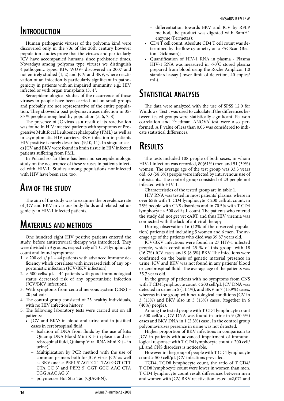### **Introduction**

Human pathogenic viruses of the polyoma kind were discovered only in the 70s of the 20th century however population studies prove that the viruses and particularly JCV have accompanied humans since prehistoric times. Nowadays among polyoma type viruses we distinguish 4 pathogenic types: KIV, WUV- discovered in 2007 and not entirely studied (1, 2) and JCV and BKV, where reactivation of an infection is particularly significant in pathogenicity in patients with an impaired immunity, e.g.: HIV infected or with organ transplants  $(3, 4)$ .

Seroepidemiological studies of the occurrence of those viruses in people have been carried out on small groups and probably are not representative of the entire population. They showed a past polyomaviruses infection in 35- 85 % people among healthy population (5, 6, 7, 8).

The presence of JC virus as a result of its reactivation was found in HIV infected patients with symptoms of Progressive Multifocal Leukoencephalopathy (PML) as well as in asymptomatic HIV carriers. BKV infection in patients HIV-positive is rarely described (9,10, 11). In singular cases JCV and BKV were found in brain tissue in HIV infected patients suffering from PML.

In Poland so far there has been no seroepidemiologic study on the occurrence of these viruses in patients infected with HIV-1. Studies among populations noninfected with HIV have been rare, too.

### **Aim of the study**

The aim of the study was to examine the prevalence rate of JCV and BKV in various body fluids and related pathogenicity in HIV-1 infected patients.

# **Materials and methods**

One hundred eight HIV positive patients entered the study, before antiretroviral therapy was introduced. They were divided in 3 groups, respectively of T CD4 lymphocyte count and found symptoms:

- 1. < 200 cells/ μL 44 patients with advanced immune deficiency which correlates with increased risk of any opportunistic infection (JCV/BKV infection).
- $2.$  > 500 cells/ $\mu$ L 44 patients with good immunological status decreased risk of any opportunistic infection (JCV/BKV infection).
- 3. With symptoms from central nervous system (CNS) 20 patients
- 4. The control group consisted of 23 healthy individuals, with no HIV infection history.
- 5. The following laboratory tests were carried out on all patients:
	- JCV and BKV: in blood and urine and in justified cases in cerebrospinal fluid
		- Isolation of DNA from fluids by the use of kits: Qiuamp DNA Blood Mini Kit- in plasma and cerebrospinal fluid, Quiamp Viral RNA Mini Kit – in urine),
		- Multiplication by PCR method with the use of common primers both for JCV virus JCV as well as BKV one i.e. PEP1 5' AGT CTT TAG GGT CTT CTA CC 3' and PEP2 5' GGT GCC AAC CTA TGG AAC AG 3',
		- polymerase Hot Star Taq (QIAGEN),
- differentiation towards BKV and JCV by RFLP method, the product was digested with BamH1 enzyme (Fermetas);
- CD4 T cell count: Absolute CD4 T cell count was determined by the flow cytometry on a FACScan (Becton-Dickinson);
- Quantification of HIV-1 RNA in plasma Plasma HIV-1 RNA was measured in -70°C stored plasma prepared from blood using the Roche Amplicor 1.0 standard assay (lower limit of detection, 40 copies/ mL).

### **Statistical analysis**

The data were analyzed with the use of SPSS 12.0 for Windows. Test t was used to calculate if the differences between tested groups were statistically significant. Pearson correlation and Friedman ANOVA test were also performed. A P value of less than 0.05 was considered to indicate statistical differences.

# **Results**

The tests included 108 people of both sexes, in whom HIV-1 infection was recorded, 80(61%) men and 51 (39%) women. The average age of the test group was 33.3 years old. 63 (58.3%) people were infected by intravenous use of intoxicants. The control group consisted of 23 people not infected with HIV-1.

Characteristics of the tested group are in table 1.

HIV RNA was tested in most patients' plasma, where in over 65% with T CD4 lymphocyte < 200 cell/μL count, in 75% people with CNS disorders and in 70.5% with T CD4 lymphocyte > 500 cell/ μL count. The patients who entered the study did not get yet cART and thus HIV viremia was connected with the lack of antiviral therapy.

During observation 16 (12% of the observed population) patients died including 5 women and 6 men. The average age of the patients who died was 39.87 years old.

JCV/BKV infections were found in 27 HIV-1 infected people, which constituted 25 % of this group: with 18 (16.7%) JCV cases and 9 (8.3%) BKV. The infections were confirmed on the basis of genetic material presence in urine. JCV and BKV was not found in any patients' blood or cerebrospinal fluid. The average age of the patients was 35.7 years old.

In the group of patients with no symptoms from CNS with T CD4 lymphocyte count < 200 cell/μL JCV DNA was detected in urine in 5 (11.4%), and BKV in 7 (15.9%) cases, whereas in the group with neurological conditions JCV in 3 (15%) and BKV also in 3 (15%) cases, (together in 6 (40%) people).

Among the tested people with T CD4 lymphocyte count > 500 cell/μL JCV DNA was found in urine in 9 (20.5%) cases and BKV DNA in 1 (2,3%) case . In the control group polyomaviruses presence in urine was not detected.

Higher proportion of BKV infections in comparison to JCV in patients with advanced impairment of immunological response: with T CD4 lymphocyte count < 200 cell/ μL and CNS disorders is noticeable.

However in the group of people with T CD4 lymphocyte count > 500 cell/μL JCV infections prevailed.

TCD4, TCD8 lymphocyte count, the ratio of T CD4/ T CD8 lymphocyte count were lower in women than men. T CD4 lymphocyte count result differences between men and women with JCV, BKV reactivation tested t=2,071 and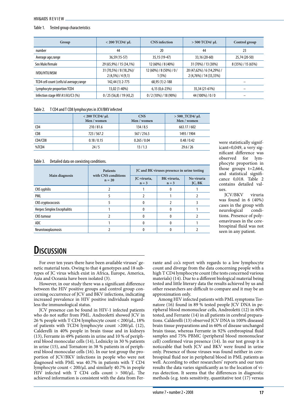#### HIV&AIDS REVIEW.

#### Table 1. Tested group characteristics

| Group                                    | $<$ 200 TCD4/ $\mu$ L                        | <b>CNS</b> infection               | $> 500$ TCD4/ $\mu$ L                                 | Control group      |
|------------------------------------------|----------------------------------------------|------------------------------------|-------------------------------------------------------|--------------------|
| number                                   | 44                                           | 20                                 | 44                                                    | 23                 |
| Average age, range                       | 36,59 (15-57)                                | 35,15 (19-47)                      | 33,16 (20-60)                                         | 25,74 (20-50)      |
| Sex Male/female                          | 29 (65,9%) / 15 (34,1%)                      | 12 (60%) / 8 (40%)                 | 31 (70%) / 13 (30%)                                   | 8 (35%) / 15 (65%) |
| IVDU/HTX/MSM                             | 31 (70,5%) / 8 (18,2%)/<br>$2(4,5\%)/4(9,1)$ | 12 (60%) / 8 (50%) / 0 /<br>1 (5%) | 20 (47,62%) / 6 (14,29%) /<br>2 (4,76%) / 14 (33,33%) |                    |
| TCD4 cell count (cells/ul average, range | 142,44 (1) 2-775                             | 68,95 (1) 2-188                    |                                                       |                    |
| Lymphocyte proportion TCD4               | 13,02 (1-40%)                                | $6,15(0,6-23%)$                    | 35,34 (21-61%)                                        |                    |
| Infection stage HIV A1/A3/C3 (%)         | 0/25(56,8)/19(43,2)                          | $0/2(10\%)/18(90\%)$               | 44 (100%) / 0 / 0                                     |                    |

#### Table 2. T CD4 and T CD8 lymphocytes in JCV/BKV infected

|                  | $<$ 200 TCD4/ $\mu$ L<br>Men / women | <b>CNS</b><br>Men / women | $> 500$ TCD4/ $\mu$ L<br>Men / women |
|------------------|--------------------------------------|---------------------------|--------------------------------------|
| CD4              | 210/81.6                             | 134/8.5                   | 663.17/602                           |
| C <sub>D</sub> 8 | 723/567.2                            | 567/216.5                 | 1493 / 1904                          |
| CD4/CD8          | 0.18 / 0.15                          | 0.265 / 0.04              | 0.48/0.42                            |
| %TCD4            | 24/5                                 | 13/1.3                    | 29.6 / 26                            |

#### Table 3. Detailed data on coexisting conditions.

|                             | <b>Patients</b><br>with CNS conditions | JC and BK viruses presence in urine testing |                        |                      |  |
|-----------------------------|----------------------------------------|---------------------------------------------|------------------------|----------------------|--|
| Main diagnosis              | $n = 20$                               | JC-viruria,<br>$n = 3$                      | BK-viruria,<br>$n = 3$ | No viruria<br>JC, BK |  |
| <b>CNS</b> syphilis         |                                        |                                             | o                      |                      |  |
| PML                         |                                        |                                             |                        |                      |  |
| CNS cryptococcosis          |                                        |                                             |                        |                      |  |
| Herpes Simplex Encephalitis |                                        |                                             |                        |                      |  |
| <b>CNS</b> tumour           |                                        |                                             |                        |                      |  |
| ADC.                        |                                        |                                             |                        |                      |  |
| Neurotoxoplasmosis          |                                        |                                             |                        |                      |  |

were statistically significant=0,049, a very significant difference was observed for lymphocyte proportion in those groups t=2,664, and statistical significance 0,018. Table 2 contains detailed values.

JCV/BKV viruria was found in 6 (40%) cases in the group with neurological conditions. Presence of polyomaviruses in the cerebrospinal fluid was not seen in any patient.

### **Discussion**

For over ten years there have been available viruses' genetic material tests. Owing to that 4 genotypes and 18 subtypes of JC virus which exist in Africa, Europe, America, Asia and Oceania have been isolated (3).

However, in our study there was a significant difference between the HIV positive groups and control group concerning occurrence of JCV and BKV infections, indicating increased prevalence in HIV positive individuals regardless the immunological status.

JCV presence can be found in HIV-1 infected patients who do not suffer from PML. Andreoletti showed JCV in 26 % people with T CD4 lymphocyte count < 200/μL, 18% of patients with TCD4 lymphocyte count >200/μL (12), Calderelli in 40% people in brain tissue and in kidneys (13), Ferrante in 49% patients in urine and 10 % of peripheral blood monocular cells (14), Lednicky in 30 % patients in urine (15), and Tornatore in 38 % patients in of peripheral blood monocular cells (16). In our test group the proportion of JCV/BKV infections in people who were not diagnosed with PML was 40.7% in patients with T CD4 lymphocyte count < 200/μL and similarly 40.7% in people HIV infected with T CD4 cells count > 500/μL. The achieved information is consistent with the data from Ferrante and co.'s report with regards to a low lymphocyte count and diverge from the data concerning people with a high T CD4 lymphocyte count (the tests concerned various materials) (14). Due to a different biological material being tested and little literary data the results achieved by us and other researchers are difficult to compare and it may be an approximation only.

Among HIV infected patients with PML symptoms Tornatore (16) found in 89 % tested people JCV DNA in peripheral blood mononuclear cells, Andreoletti (12) in 60% tested, and Ferrante (14) in all patients in cerebral preparations. Calderelli (13) observed JCV DNA in 100% diseased brain tissue preparations and in 60% of disease unchanged brain tissue, whereas Ferrante in 92% cerebrospinal fluid samples and 75% PBMC (peripheral blood mononuclear cell) confirmed virus presence (14). In our test group it is noticeable that both JCV and BKV were found in urine only. Presence of those viruses was found neither in cerebrospinal fluid nor in peripheral blood in PML patients as well. According to other researchers' reports and our tests results the data varies significantly as to the location of virus detection. It seems that the differences in diagnostic methods (e.g. tests sensitivity, quantitative test (17) versus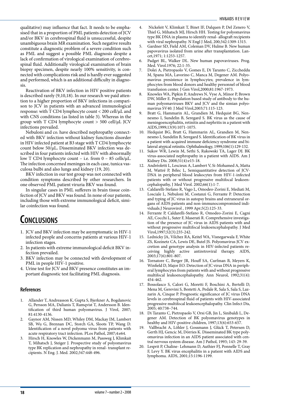qualitative) may influence that fact. It needs to be emphasised that in a proportion of PML patients detection of JCV and/or BKV in cerebrospinal fluid is unsuccessful, despite unambiguous brain MR examination. Such negative results constitute a diagnostic problem of a severe condition such as PML and suggest a possible PML diagnosis despite a lack of confirmation of virological examination of cerebrospinal fluid. Additionally virological examination of brain biopsy specimen, despite nearly 100% sensitivity, is connected with complications risk and is hardly ever suggested and performed, which is an additional difficulty in diagnosis.

Reactivation of BKV infection in HIV positive patients is described rarely (9,10,18). In our research we paid attention to a higher proportion of BKV infections in comparison to JCV in patients with an advanced immunological response: with T CD4 lymphocyte count < 200 cell/μL and with CNS conditions (as listed in table 3). Whereas in the group with T CD4 lymphocyte count > 500 cell/μL JCV infections prevailed.

Nebuloni and co. have described nephropathy connected with BKV infection without kidney functions disorder in HIV infected patient at B3 stage with T CD4 lymphocyte count below 50/μL**.** Disseminated BKV infection was described in four patients infected with HIV with abnormally low T CD4 lymphocyte count – i.e. from 0 – 85 cells/μL. The infection concerned meninges in each case, tunica vasculosa bulbi and also lungs and kidney (19, 20).

BKV infection in our test group was not connected with condition symptoms described by other researchers. In one observed PML patient viruria BKV was found.

In singular cases in PML sufferers in brain tissue coinfection of JCV and BKV was found. In none of our patients, including those with extreme immunological deficit, similar coinfection was found.

# **Conclusions**

- 1. JCV and BKV infection may be asymptomatic in HIV-1 infected people and concerns patients at various HIV-1 infection stages.
- 2. In patients with extreme immunological deficit BKV infection prevailed.
- 3. BKV infection may be connected with development of PML in people HIV-1 positive.
- 4. Urine test for JCV and BKV presence constitutes an important diagnostic test facilitating PML diagnosis.

### **References**

- 1. Allander T, Andreasson K, Gupta S, Bjerkner A, Bogdanovic G, Persson MA, Dalianis T, Ramqvist T, Andersson B. Identification of third human polyomavirus. J Virol, 2007; 81:4130-4136.
- 2. Gaynor AM, Nissen MD, Whiley DM, Mackay IM, Lambert SB, Wu G, Brennan DC, Storch GA, Sloots TP, Wang D. Identification of a novel polyoma virus from patients with acute respiratory tract infection. PLos Pathol, 2007;4:e64.
- 3. Hirsch H, Knowles W, Dickenmann M, Passweg J, Klimkait T, Mihatsch J, Steiger J. Prospective study of polyomavirus type BK replication and nephropathy in renal- transplant recipients. N Eng. J. Med. 2002;347:448-496.
- 4. Nickeleit V, Klimkait T, Binet IF, Dalquen P, Del Zenero V, Thiel G, Mihatsch MJ, Hirsch HH. Testing for polyomavirus type BK DNA in plasma to identify renal- allograft recipients with viral nephropathy. N Engl J Med, 200;342:1309-1315.
- 5. Gardner SD, Field AM, Coleman DV, Hulme B. New human papovavirus isolated from urine after transplantation. Lancet,1971; 1:1253-1257.
- 6. Padget BL, Walker DL. New human papovaviruses. Prog. Med. Virol.1976; 22:1-35.
- 7. Dolei A, Pietropaolo V, Gomes E, Di Taranto C, Ziccheddu M, Spanu MA, Lavorino C, Manca M, Degener AM. Polyomavirus presistence in lymphocytes; prevalence in lymphocytes from blood donors and healthy personnel of blood transfusion center. J Gen Virol,2000;81:1967-1973.
- 8. Knowles WA, Pipkin P, Andrews N, Vyse A, Minor P, Brown DW, Miller E. Population based study of antibody to the human polyomaviruses BKV and JCV and the simian polyomavirus SV40. J Med Virol,2003;71:115-123.
- Bratt G, Hammarin AL, Grandien M, Hedquist BG, Nennesmo I, Sundelin B, Seregard S. BK virus as the cause of meningoencephalitis, retinitis and nephritis in a patient with AIDS,1999;13(9):1071-1075.
- 10. Hedquist BG, Bratt G, Hammarin AL, Grandien M, Nennesmo I, Sundelin B, Seregard S. Identification of BK virus in a patient with acquired immune deficiency syndrome and bilateral atypical retinitis. Ophthalmology, 1999;106(1):129-132.
- 11. Sukov WR, Lewin M, Sethi S, Rakowski TA, Lager DJ. BK virus-associated nephropathy in a patient with AIDS. Am J Kidney Dis. 2008;51(4):e15-18.
- 12. Andréoletti L, Lescieux A, Lambert V, Si-Mohamed A, Matta M, Wattré P, Bélec L, Semiquantitative detection of JCV-DNA in peripheral blood leukocytes from HIV-1-infected patients with or without progressive multifocal leukoencephalopathy, J Med Virol. 2002;66(1):1-7.
- 13. Caldarelli-Stefano R, Vago L, Omodeo-Zorini E, Mediati M, Losciale L, Nebuloni M, Costanzi G, Ferrante P. Detection and typing of JC virus in autopsy brains and extraneural organs of AIDS patients and non-immunocompromised individuals.J Neurovirol , 1999 Apr;5(2):125-33.
- 14. Ferrante P, Caldarelli-Stefano R, Omodeo-Zorini E, Cagni AE, Cocchi L, Suter F, Maserati R. Comprehensive investigation of the presence of JC virus in AIDS patients with and without progressive multifocal leukoencephalopathy. J Med Virol,1997;52(3):235-242.
- 15. Lednicky JA, Vilchez RA, Keitel WA, Visnegarwala F, White ZS, Kozinetz CA, Lewis DE, Butel JS. Polyomavirus JCV excretion and genotype analysis in HIV-infected patients receiving highly active antiretroviral therapy. AIDS, 2003;17(6):801-807.
- 16. Tornatore C, Berger JR, Houff SA, Curfman B, Meyers K, Winfield D, Major EO. Detection of JC virus DNA in peripheral lymphocytes from patients with and without progressive multifocal leukoencephalopathy. Ann Neurol, 1992;31(4): 454-462.
- 17. Bossolasco S, Calori G, Moretti F, Boschini A, Bertelli D, Mena M, Gerevini S, Bestetti A, Pedale R, Sala S, Sala S, Lazzarin A, Cinque P. Prognostic significance of JC virus DNA levels in cerebrospinal fluid of patients with HIV-associated progressive multifocal leukoencephalopathy. Clin Infect Dis, 2005; 40:738–744.
- 18. Di Taranto C, Pietropaolo V, Orsi GB, Jin L, Sinibaldi L, Degener AM. Detection of BK polyomavirus genotypes in healthy and HIV-positive children, 1997;13(6):653-657.
- 19. Vallbracht A, Löhler J, Gossmann J, Glück T, Petersen D, Gerth HJ, Gencic M, Dörries K. Disseminated BK type polyomavirus infection in an AIDS patient associated with central nervous system disease. Am J Pathol, 1993; 143: 29-39.
- 20. Lesprit P, Chaline- Lehmann D, Authier FJ, Ponnelle T, Gray F, Levy Y. BK virus encephalitis in a patient with AIDS and lymphoma. AIDS, 2001;15:1196-1199.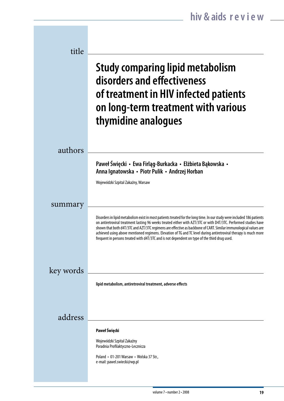| title     |                                                                                                                                                                                                                                                                                                                                                                                                                                                                                                                                                                                      |
|-----------|--------------------------------------------------------------------------------------------------------------------------------------------------------------------------------------------------------------------------------------------------------------------------------------------------------------------------------------------------------------------------------------------------------------------------------------------------------------------------------------------------------------------------------------------------------------------------------------|
|           | <b>Study comparing lipid metabolism</b><br>disorders and effectiveness<br>of treatment in HIV infected patients<br>on long-term treatment with various<br>thymidine analogues                                                                                                                                                                                                                                                                                                                                                                                                        |
| authors   |                                                                                                                                                                                                                                                                                                                                                                                                                                                                                                                                                                                      |
|           | Paweł Święcki • Ewa Firląg-Burkacka • Elżbieta Bąkowska •<br>Anna Ignatowska • Piotr Pulik • Andrzej Horban                                                                                                                                                                                                                                                                                                                                                                                                                                                                          |
|           | Wojewódzki Szpital Zakaźny, Warsaw                                                                                                                                                                                                                                                                                                                                                                                                                                                                                                                                                   |
| summary   |                                                                                                                                                                                                                                                                                                                                                                                                                                                                                                                                                                                      |
|           | Disorders in lipid metabolism exist in most patients treated for the long time. In our study were included 186 patients<br>on antiretroviral treatment lasting 96 weeks treated either with AZT/3TC or with D4T/3TC. Performed studies have<br>shown that both d4T/3TC and AZT/3TC regimens are effective as backbone of CART. Similar immunological values are<br>achieved using above mentioned regimens. Elevation of TG and TC level during antiretroviral therapy is much more<br>frequent in persons treated with d4T/3TC and is not dependent on type of the third drug used. |
| key words |                                                                                                                                                                                                                                                                                                                                                                                                                                                                                                                                                                                      |
|           | lipid metabolism, antiretroviral treatment, adverse effects                                                                                                                                                                                                                                                                                                                                                                                                                                                                                                                          |
| address   |                                                                                                                                                                                                                                                                                                                                                                                                                                                                                                                                                                                      |
|           | Paweł Święcki<br>Wojewódzki Szpital Zakaźny                                                                                                                                                                                                                                                                                                                                                                                                                                                                                                                                          |
|           | Poradnia Profilaktyczno-Lecznicza<br>Poland • 01-201 Warsaw • Wolska 37 Str.,                                                                                                                                                                                                                                                                                                                                                                                                                                                                                                        |
|           | e-mail: pawel.swiecki@wp.pl                                                                                                                                                                                                                                                                                                                                                                                                                                                                                                                                                          |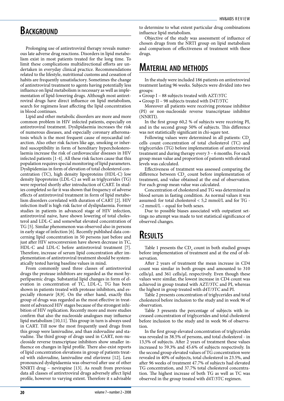### **BACKGROUND**

Prolonging use of antiretroviral therapy reveals numerous late adverse drug reactions. Disorders in lipid metabolism exist in most patients treated for the long time. To limit these complications multidirectional efforts are undertaken in everyday clinical practice. Recommendations related to the lifestyle, nutritional customs and cessation of habits are frequently unsatisfactory. Sometimes the change of antiretroviral treatment to agents having potentially less influence on lipid metabolism is necessary as well as implementation of lipid-lowering drugs. Although most antiretroviral drugs have direct influence on lipid metabolism, search for regimens least affecting the lipid concentration in blood continues.

Lipid and other metabolic disorders are more and more common problem in HIV infected patients, especially on antiretroviral treatment. Dyslipidaemia increases the risk of numerous diseases, and especially coronary atheromatosis which is the most frequent cause of myocardial infarction. Also other risk factors like age, smoking or inherited susceptibility in form of hereditary hypercholesterolaemia increase the risk of cardiovascular diseases in HIV infected patients [1-4]. All these risk factors cause that this population requires special monitoring of lipid parameters. Dyslipidemias in form of elevation of total cholesterol concentration (TC), high density lipoproteins (HDL-C) low density lipoproteins (LDL-C) as well as triglycerides (TG) were reported shortly after introduction of CART. In studies completed so far it was shown that frequency of adverse effects of antiretroviral treatment in form of lipid metabolism disorders correlated with duration of CART [2]. HIV infection itself is high risk factor of dyslipidaemia. Former studies in patients in advanced stage of HIV infection, antiretroviral naive, have shown lowering of total cholesterol and LDL-C and somewhat elevated concentration of TG [5]. Similar phenomenon was observed also in persons in early stage of infection [6]. Recently published data concerning lipid concentration in 50 persons just before and just after HIV seroconversion have shown decrease in TC, HDL-C and LDL-C before antiretroviral treatment [7]. Therefore, increase of serum lipid concentration after implementation of antiretroviral treatment should be systematically tested having baseline values in mind.

From commonly used three classes of antiretroviral drugs the protease inhibitors are regarded as the most hyperlipaemic drugs. Substantial lipid changes in form of elevation in concentration of TC, LDL-C, TG has been shown in patients treated with protease inhibitors, and especially ritonavir [8,9]. On the other hand, exactly this group of drugs was regarded as the most effective in treatment of advanced HIV stages because of the strongest inhibition of HIV replication. Recently more and more studies confirm that also the nucleoside analogues may influence lipid metabolism [10,11]. This group in turn is always used in CART. Till now the most frequently used drugs from this group were lamivudine, and than zidovudine and stavudine. The third group of drugs used in CART, non-nucleoside reverse transcriptase inhibitors show smaller influence on changes in lipid profile. There also exist reports of lipid concentration elevations in group of patients treated with zidovudine, lamivudine end efavirenz [12]. Less pronounced dyslipidaemia was observed after use of other NNRTI drug – nevirapine [13]. As result from previous data all classes of antiretroviral drugs adversely affect lipid profile, however to varying extent. Therefore it s advisable to determine to what extent particular drug combinations influence lipid metabolism.

Objective of the study was assessment of influence of chosen drugs from the NRTI group on lipid metabolism and comparison of effectiveness of treatment with these drugs.

### **Material and methods**

In the study were included 186 patients on antiretroviral treatment lasting 96 weeks. Subjects were divided into two groups:

• Group I – 88 subjects treated with AZT/3TC

• Group II – 98 subjects treated with D4T/3TC

Moreover all patients were receiving protease inhibitor (PI) or non-nucleoside reverse transcriptase inhibitor (NNRTI).

In the first group 60,2 % of subjects were receiving PI, and in the second group 50% of subjects. This difference was not statistically significant in chi-sqare test.

Following values were determined in all patients: CD<sub>4</sub> cells count, concentration of total cholesterol (TC) and triglycerides (TG) before implementation of antiretroviral treatment and during therapy every 3 – 6 months. For each group mean value and proportion of patients with elevated levels was calculated.

Effectiveness of treatment was assessed comparing the difference between  $CD_4$  count before implementation of treatment, and value obtained at the end of observation. For each group mean value was calculated.

Concentration of cholesterol and TG was determined in blood serum in fasting condition. As normal values it was assumed: for total cholesterol < 5,2 mmol/L and for TG -  $\langle$ 2 mmol/L – equal for both sexes.

Due to possible biases associated with outpatient settings no attempt was made to test statistical significance of observed changes.

# **Results**

Table 1 presents the  $CD_4$  count in both studied groups before implementation of treatment and at the end of observation.

After 2 years of treatment the mean increase in CD4 count was similar in both groups and amounted to 310  $cells/µL$  and  $361$  cells/ $µL$  respectively. Even though these values were similar, the lowest increase in CD4 count was achieved in group treated with AZT/3TC and PI, whereas the highest in group treated with d4T/3TC and PI.

Table 2 presents concentration of triglycerides and total cholesterol before inclusion to the study and in week 96 of observation.

Table 3 presents the percentage of subjects with increased concentration of triglycerides and total cholesterol before inclusion to the study and in week 96 of observation.

In the first group elevated concentration of triglycerides was revealed in 38.5% of persons, and total cholesterol - in 13,5% of subjects. After 2 years of treatment these values increased to 59.3% and 45.6% of subjects respectively. In the second group elevated values of TG concentration were revealed in 40% of subjects, total cholesterol in 23.5%, and after 96 weeks of treatment 47.7% of subjects had elevated TG concentration, and 37.7% total cholesterol concentration. The highest increase of both TG as well as TC was observed in the group treated with d4T/3TC regimen.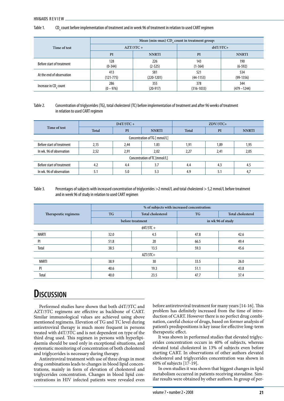Table 1. count before implementation of treatment and in week 96 of treatment in relation to used CART regimen

|                           | Mean (min-max) CD, count in treatment group: |              |              |                |
|---------------------------|----------------------------------------------|--------------|--------------|----------------|
| Time of test              | $AZT/3TC +$                                  |              | $d4T/3TC+$   |                |
|                           | PI                                           | <b>NNRTI</b> | PI           | <b>NNRTI</b>   |
| Before start of treatment | 128                                          | 226          | 143          | 190            |
|                           | $(0-344)$                                    | $(2-525)$    | $(1-364)$    | $(6-592)$      |
| At the end of observation | 413                                          | 581          | 521          | 534            |
|                           | $(121 - 775)$                                | $(220-1201)$ | $(44-1153)$  | $(99-1356)$    |
| Increase in CD, count     | 286                                          | 355          | 378          | 344            |
|                           | $(0 - 976)$                                  | $(20-917)$   | $(316-1033)$ | $(479 - 1244)$ |

#### Table 2. Concentration of triglycerides (TG), total cholesterol (TC) before implementation of treatment and after 96 weeks of treatment in relation to used CART regimen

| Time of test                  | $D4T/3TC +$ |      |              | $ZDV/3TC+$ |      |              |
|-------------------------------|-------------|------|--------------|------------|------|--------------|
|                               | Total       | PI   | <b>NNRTI</b> | Total      | PI   | <b>NNRTI</b> |
| Concentration of TG [ mmol/L] |             |      |              |            |      |              |
| Before start of treatment     | 2,15        | 2,44 | 1.83         | 1,91       | 1,89 | 1,95         |
| In wk. 96 of observation      | 2,52        | 2,91 | 2,02         | 2,27       | 2,41 | 2,05         |
| Concentration of TC [mmol/L]  |             |      |              |            |      |              |
| Before start of treatment     | 4.2         | 4.4  | 3.7          | 4.4        | 4.3  | 4.5          |
| In wk. 96 of observation      | 5.1         | 5.0  | 5.3          | 4.9        | 5.1  | 4,7          |

### Table 3. Percentages of subjects with increased concentration of triglycerides >2 mmol/L and total cholesterol > 5,2 mmol/L before treatment and in week 96 of study in relation to used CART regimen

|                      | % of subjects with increased concentration: |                          |                   |                          |  |  |
|----------------------|---------------------------------------------|--------------------------|-------------------|--------------------------|--|--|
| Therapeutic regimens | <b>TG</b>                                   | <b>Total cholesterol</b> | <b>TG</b>         | <b>Total cholesterol</b> |  |  |
|                      |                                             | before treatment         | in wk 96 of study |                          |  |  |
| $d4T/3TC +$          |                                             |                          |                   |                          |  |  |
| NNRTI                | 32.0                                        | 4.5                      | 47.8              | 42.6                     |  |  |
| PI                   | 51.8                                        | 20                       | 66.5              | 49.4                     |  |  |
| Total                | 38.5                                        | 13.5                     | 59.3              | 45.6                     |  |  |
| $AZT/3TC+$           |                                             |                          |                   |                          |  |  |
| <b>NNRTI</b>         | 38.9                                        | 30                       | 33.5              | 26.0                     |  |  |
| P                    | 40.6                                        | 19.3                     | 51.1              | 43.8                     |  |  |
| Total                | 40.0                                        | 23.5                     | 47.7              | 37.4                     |  |  |

# **Discussion**

Performed studies have shown that both d4T/3TC and AZT/3TC regimens are effective as backbone of CART. Similar immunological values are achieved using above mentioned regimens. Elevation of TG and TC level during antiretroviral therapy is much more frequent in persons treated with d4T/3TC and is not dependent on type of the third drug used. This regimen in persons with hyperlipidaemia should be used only in exceptional situations, and systematic monitoring of concentration of both cholesterol and triglycerides is necessary during therapy.

Antiretroviral treatment with use of three drugs in most drug combinations leads to changes in blood lipid concentrations, mainly in form of elevation of cholesterol and triglycerides concentration. Changes in blood lipid concentrations in HIV infected patients were revealed even before antiretroviral treatment for many years [14-16]. This problem has definitely increased from the time of introduction of CART. However there is no perfect drug combination, careful choice of drugs, based on former analysis of patient's predispositions is key issue for effective long-term therapeutic effect.

It was shown in performed studies that elevated triglycerides concentration occurs in 40% of subjects, whereas elevated total cholesterol in 13% of subjects even before starting CART. In observations of other authors elevated cholesterol and triglycerides concentration was shown in 60% of subjects [17-19].

In own studies it was shown that biggest changes in lipid metabolism occurred in patients receiving stavudine. Similar results were obtained by other authors. In group of per-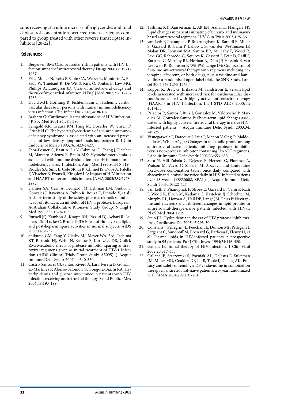sons receiving stavudine increase of triglycerides and total cholesterol concentration occurred much earlier, as compared to group treated with other reverse transcriptase inhibitors [20-22] .

### **References:**

- 1. Bergersen BM: Cardiovascular risk in patients with HIV Infection: impact of antiretroviral therapy. Drugs 2006;66:1971- 1987.
- 2. Friis-Moller N, Reiss P, Sabin CA, Weber R, Monforte A, El-Sadr W, Thiebaut R, De Wit S, Kirk O, Fontas E, Law MG, Phillips A, Lundgren JD: Class of antiretroviral drugs and the risk of myocardial infarction. N Engl J Med 2007;356:1723- 1735.
- 3. David MH, Hornung R, Fichtenbaum CJ: Ischemic cardiovascular disease in persons with human immunodeficiency virus infection. Clin Infect Dis 2002;34:98-102.
- 4. Barbaro G: Cardiovascular manifestations of HIV infection. J R Soc Med 2001;94:384-390.
- 5. Feingold KR, Krauss RM, Pang M, Doerrler W, Jensen P, Grunfeld C: The hypertriglyceridemia of acquired immunodeficiency syndrome is associated with an increased prevalence of low density lipoprotein subclass pattern B. J Clin Endocrinol Metab 1993;76:1423-1427.
- 6. Shor-Posner G, Basit A, Lu Y, Cabrejos C, Chang J, Fletcher M, Mantero-Atienza E, Baum MK: Hypocholesterolemia is associated with immune dysfunction in early human immunodeficiency virus-1 infection. Am J Med 1993;94:515-519.
- 7. Riddler SA, Smit E, Cole SR, Li R, Chmiel JS, Dobs A, Palella F, Visscher B, Evans R, Kingsley LA: Impact of HIV infection and HAART on serum lipids in men. JAMA 2003;289:2978- 2982.
- 8. Danner SA, Carr A, Leonard JM, Lehman LM, Gudiol F, Gonzales J, Raventos A, Rubio R, Bouza E, Pintado V, et al.: A short-term study of the safety, pharmacokinetics, and efficacy of ritonavir, an inhibitor of HIV-1 protease. European-Australian Collaborative Ritonavir Study Group. N Engl J Med 1995;333:1528-1533.
- 9. Purnell JQ, Zambon A, Knopp RH, Pizzuti DJ, Achari R, Leonard JM, Locke C, Brunzell JD: Effect of ritonavir on lipids and post-heparin lipase activities in normal subjects. AIDS 2000;14:51-57.
- 10. Shikuma CM, Yang Y, Glesby MJ, Meyer WA, 3rd, Tashima KT, Ribaudo HJ, Webb N, Bastow B, Kuritzkes DR, Gulick RM: Metabolic effects of protease inhibitor-sparing antiretroviral regimens given as initial treatment of HIV-1 Infection (AIDS Clinical Trials Group Study A5095). J Acquir Immune Defic Syndr 2007;44:540-550.
- 11. Castro-Sansores CJ, Santos-Rivero A, Lara-Perera D, Gonzalez-Martinez P, Alonso-Salomon G, Gongora-Biachi RA: Hyperlipidemia and glucose intolerance in patients with HIV infection receiving antiretroviral therapy. Salud Publica Mex 2006;48:193-199.
- 12. Tashima KT, Bausserman L, Alt EN, Aznar E, Flanigan TP: Lipid changes in patients initiating efavirenz- and indinavirbased antiretroviral regimens. HIV Clin Trials 2003;4:29-36.
- 13. van Leth F, Phanuphak P, Ruxrungtham K, Baraldi E, Miller S, Gazzard B, Cahn P, Lalloo UG, van der Westhuizen IP, Malan DR, Johnson MA, Santos BR, Mulcahy F, Wood R, Levi GC, Reboredo G, Squires K, Cassetti I, Petit D, Raffi F, Katlama C, Murphy RL, Horban A, Dam JP, Hassink E, van Leeuwen R, Robinson P, Wit FW, Lange JM: Comparison of first-line antiretroviral therapy with regimens including nevirapine, efavirenz, or both drugs, plus stavudine and lamivudine: a randomised open-label trial, the 2NN Study. Lancet 2004;363:1253-1263.
- 14. Koppel K, Bratt G, Eriksson M, Sandstrom E: Serum lipid levels associated with increased risk for cardiovascular disease is associated with highly active antiretroviral therapy (HAART) in HIV-1 infection. Int J STD AIDS 2000;11: 451-455.
- 15. Palacios R, Santos J, Ruiz J, Gonzalez M, Valdivielso P, Marquez M, Gonzalez-Santos P: Short-term lipid changes associated with highly active antiretroviral therapy in naive HIVinfected patients. J Acquir Immune Defic Syndr 2003;34: 249-251.
- 16. Visnegarwala F, Darcourt J, Sajja P, Menon V, Ong O, Maldonado M, White AC, Jr.: Changes in metabolic profile among antiretroviral-naive patients initiating protease inhibitor versus non-protease inhibitor containing HAART regimens. J Acquir Immune Defic Syndr 2003;33:653-655.
- 17. Sosa N, Hill-Zabala C, Dejesus E, Herrera G, Florance A, Watson M, Vavro C, Shaefer M: Abacavir and lamivudine fixed-dose combination tablet once daily compared with abacavir and lamivudine twice daily in HIV-infected patients over 48 weeks (ESS30008, SEAL). J Acquir Immune Defic Syndr 2005;40:422-427.
- 18. van Leth F, Phanuphak P, Stroes E, Gazzard B, Cahn P, Raffi F, Wood R, Bloch M, Katlama C, Kastelein JJ, Schechter M, Murphy RL, Horban A, Hall DB, Lange JM, Reiss P: Nevirapine and efavirenz elicit different changes in lipid profiles in antiretroviral-therapy-naive patients infected with HIV-1. PLoS Med 2004;1:e19.
- 19. Stein JH: Dyslipidemia in the era of HIV protease inhibitors. Prog Cardiovasc Dis 2003;45:293-304.
- 20. Constans J, Pellegrin JL, Peuchant E, Dumon MF, Pellegrin I, Sergeant C, Simonoff M, Brossard G, Barbeau P, Fleury H, et al.: Plasma lipids in HIV-infected patients: a prospective study in 95 patients. Eur J Clin Invest 1994;24:416-420.
- 21. Gallant JE: Initial therapy of HIV infection. J Clin Virol 2002;25:317-333.
- 22. Gallant JE, Staszewski S, Pozniak AL, DeJesus E, Suleiman JM, Miller MD, Coakley DF, Lu B, Toole JJ, Cheng AK: Efficacy and safety of tenofovir DF vs stavudine in combination therapy in antiretroviral-naive patients: a 3-year randomized trial. JAMA 2004;292:191-201.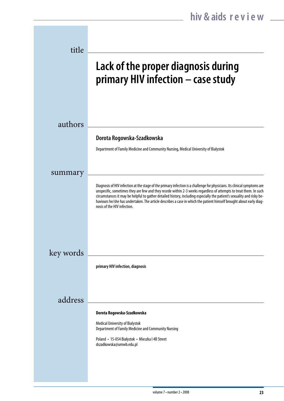| title     |                                                                                                                                                                                                                                                                                                                                                                                                                                                                                                                                |
|-----------|--------------------------------------------------------------------------------------------------------------------------------------------------------------------------------------------------------------------------------------------------------------------------------------------------------------------------------------------------------------------------------------------------------------------------------------------------------------------------------------------------------------------------------|
|           | Lack of the proper diagnosis during<br>primary HIV infection - case study                                                                                                                                                                                                                                                                                                                                                                                                                                                      |
| authors   |                                                                                                                                                                                                                                                                                                                                                                                                                                                                                                                                |
|           | Dorota Rogowska-Szadkowska                                                                                                                                                                                                                                                                                                                                                                                                                                                                                                     |
|           | Department of Family Medicine and Community Nursing, Medical University of Bialystok                                                                                                                                                                                                                                                                                                                                                                                                                                           |
| summary   |                                                                                                                                                                                                                                                                                                                                                                                                                                                                                                                                |
|           | Diagnosis of HIV infection at the stage of the primary infection is a challenge for physicians. Its clinical symptoms are<br>unspecific, sometimes they are few and they recede within 2-3 weeks regardless of attempts to treat them. In such<br>circumstances it may be helpful to gather detailed history, including especially the patient's sexuality and risky be-<br>haviours he/she has undertaken. The article describes a case in which the patient himself brought about early diag-<br>nosis of the HIV infection. |
|           |                                                                                                                                                                                                                                                                                                                                                                                                                                                                                                                                |
| key words | primary HIV infection, diagnosis                                                                                                                                                                                                                                                                                                                                                                                                                                                                                               |
| address   |                                                                                                                                                                                                                                                                                                                                                                                                                                                                                                                                |
|           | Dorota Rogowska-Szadkowska                                                                                                                                                                                                                                                                                                                                                                                                                                                                                                     |
|           | <b>Medical University of Bialystok</b><br>Department of Family Medicine and Community Nursing                                                                                                                                                                                                                                                                                                                                                                                                                                  |
|           | Poland • 15-054 Białystok • Mieszka I 4B Street<br>dszadkowska@umwb.edu.pl                                                                                                                                                                                                                                                                                                                                                                                                                                                     |
|           |                                                                                                                                                                                                                                                                                                                                                                                                                                                                                                                                |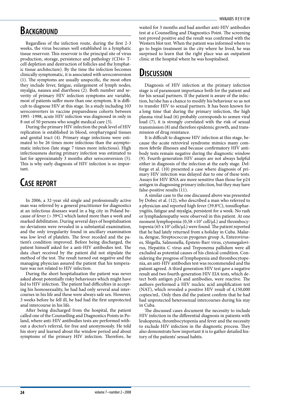### **BACKGROUND**

Regardless of the infection route, during the first 2-3 weeks, the virus becomes well established in a lymphatic tissue reservoir. This reservoir is the principal site of virus production, storage, persistence and pathology (CD4+ Tcell depletion and destruction of follicles and the lymphatic tissue architecture). By the time the infection becomes clinically symptomatic, it is associated with seroconversion (1). The symptoms are usually unspecific, the most often they include fever, fatigue, enlargement of lymph nodes, myalgia, nausea and diarrhoea (2). Both number and severity of primary HIV infection symptoms are variable, most of patients suffer more than one symptom. It is difficult to diagnose HIV at this stage. In a study including 103 seroconverters in vaccine preparedness cohorts between 1995 -1998, acute HIV infection was diagnosed in only in 8 out of 50 persons who sought medical care (3).

During the primary HIV infection the peak level of HIV replication is established in blood, oropharyngeal tissues and genital tract (4). Primary stage infections were estimated to be 26 times more infectious than the asymptomatic infection (late stage 7 times more infectious). High infectiousness during primary infection was estimated to last for approximately 3 months after seroconversion (5). This is why early diagnosis of HIV infection is so important.

# **Case report**

In 2006, a 32-year old single and professionally active man was referred by a general practitioner for diagnostics at an infectious diseases ward in a big city in Poland because of fever  $(>39^{\circ}C)$  which lasted more than a week and marked debilitation. During several days of hospitalisation no deviations were revealed in a substantial examination, and the only irregularity found in ancillary examination was low level of platelets. The fever receded and the patient's condition improved. Before being discharged, the patient himself asked for a anti-HIV antibodies test. The data chart received by the patient did not stipulate the method of the test. The result turned out negative and the managing physician assured the patient that his temperature was not related to HIV infection.

During the short hospitalisation the patient was never asked about potentially risky behaviours which might have led to HIV infection. The patient had difficulties in accepting his homosexuality, he had had only several anal intercourses in his life and these were always safe sex. However, 3 weeks before he fell ill, he had had the first unprotected anal intercourse in his life.

After being discharged from the hospital, the patient called one of the Counselling and Diagnostics Points in Poland, where anti-HIV antibodies tests are performed without a doctor's referral, for free and anonymously. He told his story and learned about the window period and about symptoms of the primary HIV infection. Therefore, he

waited for 3 months and had another anti-HIV antibodies test at a Counselling and Diagnostics Point. The screening test proved positive and the result was confirmed with the Western blot test. When the patient was informed where to go to begin treatment in the city where he lived, he was surprised to learn that the right place was an outpatient clinic at the hospital where he was hospitalised.

### **Discussion**

Diagnosis of HIV infection at the primary infection stage is of paramount importance both for the patient and for his sexual partners. If the patient is aware of the infection, he/she has a chance to modify his behaviour so as not to transfer HIV to sexual partners. It has been known for a long time that during the primary infection, the high plasma viral load (6) probably corresponds to semen viral load (7), it is strongly correlated with the risk of sexual transmission (8) and therefore epidemic growth, and transmission of drug resistance.

It is difficult to diagnose HIV infection at this stage, because the acute retroviral syndrome mimics many common febrile illnesses and because confirmatory HIV antibody tests remain negative during the diagnostic window (9). Fourth-generation HIV assays are not always helpful either in diagnosis of the infection at the early stage. Delforge et al. (10) presented a case where diagnosis of primary HIV infection was delayed due to one of these tests. Assays for HIV RNA are more sensitive than those for p24 antigen in diagnosing primary infection, but they may have false-positive results (11).

A similar case to the one discussed above was presented by Dobec et al. (12), who described a man who referred to a physician and reported high fever (39.8°C), tonsillopharyngitis, fatigue and myalgia, persistent for a week. No rash or lymphadenopathy were observed in this patient. At one moment lymphopenia ( $0.58 \times 10^3$  cell/ $\mu$ L) and thrombocytopenia (65 x  $10^3$  cells/ $\mu$ L) were found. The patient reported that he had lately returned from a holiday in Cuba. Malaria, dengue, Streptococcus pyogenes group A, Enteroviruses, Shigella, Salmonella, Epstein-Barr virus, cytomegalovirus, Hepatitis C virus and Treponema pallidum were all excluded as potential causes of his clinical condition. Considering the progress of lymphopenia and thrombocytopenia, an anti-HIV antibodies test was recommended and the patient agreed. A third generation HIV test gave a negative result and two fourth-generation HIV EIA tests, which detect both antigen p24 and antibodies, were reactive. The authors performed a HIV nucleic acid amplification test (NAT), which revealed a positive HIV result of 4,150,000 copies/mL. Only then did the patient confirm that he had had unprotected heterosexual intercourses during his stay in Cuba.

The discussed cases document the necessity to include HIV infection in the differential diagnosis in patients with leukopenia, thrombocytopenia and fever and the necessity to exclude HIV infection in the diagnostic process. They also demonstrate how important it is to gather detailed history of the patients' sexual habits.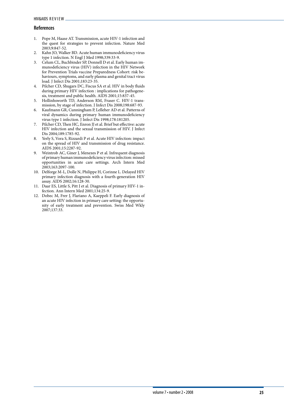### **References**

- 1. Pope M, Haase AT. Transmission, acute HIV-1 infection and the quest for strategies to prevent infection. Nature Med 2003;9:847-52.
- 2. Kahn JO, Walker BD. Acute human immunodeficiency virus type 1 infection. N Engl J Med 1998;339:33-9.
- 3. Celum CL, Buchbinder SP, Donnell D et al. Early human immunodeficiency virus (HIV) infection in the HIV Network for Prevention Trials vaccine Preparedness Cohort: risk behaviours, symptoms, and early plasma and genital tract virus load. J Infect Dis 2001;183:23-35.
- 4. Pilcher CD, Shugars DC, Fiscus SA et al. HIV in body fluids during primary HIV infection : implications for pathogenesis, treatment and public health. AIDS 2001;15:837-45.
- 5. Hollinhsworth TD, Anderson RM, Fraser C. HIV-1 transmission, by stage of infection. J Infect Dis 2008;198:687-93.
- 6. Kaufmann GR, Cunningham P, Lelleher AD et al. Patterns of viral dynamics during primary human immunodeficiency virus type 1 infection. J Infect Dis 1998;178:181205.
- 7. Pilcher CD, Then HC, Enron JJ et al. Brief but effective: acute HIV infection and the sexual transmission of HIV. J Infect Dis 2004;189:1785-92.
- 8. Yerly S, Vora S, Rizzardi P et al. Acute HIV infection: impact on the spread of HIV and transmission of drug resistance. AIDS 2001;15:2287-92.
- 9. Weintrob AC, Giner J, Menezes P et al. Infrequent diagnosis of primary human immunodeficiency virus infection: missed opportunities in acute care settings. Arch Intern Med 2003;163:2097-100.
- 10. Delforge M-L, Dolle N, Philippe H, Corinne L. Delayed HIV primary infection diagnosis with a fourth-generation HIV assay. AIDS 2002;16:128-30.
- 11. Daar ES, Little S, Pitt J et al. Diagnosis of primary HIV-1 infection. Ann Intern Med 2001;134:25-9.
- 12. Dobec M, Frer J, Flariano A, Kaeppeli F. Early diagnosis of an acute HIV infection in primary care setting: the opportunity of early treatment and prevention. Swiss Med Wkly 2007;137:33.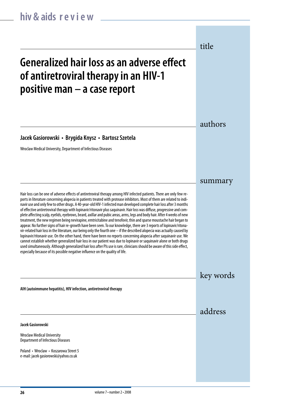# **Generalized hair loss as an adverse effect of antiretroviral therapy in an HIV-1 positive man – a case report**

**Jacek Gasiorowski • Brygida Knysz • Bartosz Szetela**

Wroclaw Medical University, Department of Infectious Diseases

Hair loss can be one of adverse effects of antiretroviral therapy among HIV infected patients. There are only few reports in literature concerning alopecia in patients treated with protease inhibitors. Most of them are related to indinavir use and only few to other drugs. A 40-year-old HIV-1 infected man developed complete hair loss after 3 months of effective antiretroviral therapy with lopinavir/ritonavir plus saquinavir. Hair loss was diffuse, progressive and complete affecting scalp, eyelids, eyebrows, beard, axillar and pubic areas, arms, legs and body hair. After 4 weeks of new treatment, the new regimen being nevirapine, emtricitabine and tenofovir, thin and sparse moustache hair began to appear. No further signs of hair re-growth have been seen. To our knowledge, there are 3 reports of lopinavir/ritonavir-related hair loss in the literature, our being only the fourth one – if the described alopecia was actually caused by lopinavir/ritonavir use. On the other hand, there have been no reports concerning alopecia after saquinavir use. We cannot establish whether generalized hair loss in our patient was due to lopinavir or saquinavir alone or both drugs used simultaneously. Although generalized hair loss after PIs use is rare, clinicians should be aware of this side effect, especially because of its possible negative influence on the quality of life.

key words

address

authors

title

summary

**AIH (autoimmune hepatitis), HIV infection, antiretroviral therapy**

**Jacek Gasiorowski**

Wroclaw Medical University Department of Infectious Diseases

Poland • Wroclaw • Koszarowa Street 5 e-mail: jacek gasiorowski@yahoo.co.uk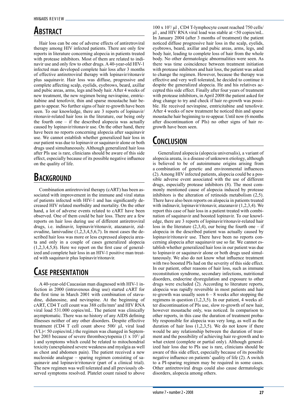# **Abstract**

 Hair loss can be one of adverse effects of antiretroviral therapy among HIV infected patients. There are only few reports in literature concerning alopecia in patients treated with protease inhibitors. Most of them are related to indinavir use and only few to other drugs. A 40-year-old HIV-1 infected man developed complete hair loss after 3 months of effective antiretroviral therapy with lopinavir/ritonavir plus saquinavir. Hair loss was diffuse, progressive and complete affecting scalp, eyelids, eyebrows, beard, axillar and pubic areas, arms, legs and body hair. After 4 weeks of new treatment, the new regimen being nevirapine, emtricitabine and tenofovir, thin and sparse moustache hair began to appear. No further signs of hair re-growth have been seen. To our knowledge, there are 3 reports of lopinavir/ ritonavir-related hair loss in the literature, our being only the fourth one – if the described alopecia was actually caused by lopinavir/ritonavir use. On the other hand, there have been no reports concerning alopecia after saquinavir use. We cannot establish whether generalized hair loss in our patient was due to lopinavir or saquinavir alone or both drugs used simultaneously. Although generalized hair loss after PIs use is rare, clinicians should be aware of this side effect, especially because of its possible negative influence on the quality of life.

# **BACKGROUND**

 Combination antiretroviral therapy (cART) has been associated with improvement in the immune and viral status of patients infected with HIV-1 and has significantly decreased HIV related morbidity and mortality. On the other hand, a lot of adverse events related to cART have been observed. One of them could be hair loss. There are a few reports on hair loss during use of different antiretroviral drugs, i.e. indinavir, lopinavir/ritonavir, atazanavir, zidovudine, lamivudine  $(1,2,3,4,5,6,7)$ . In most cases the described hair loss was more or less expressed alopecia areata and only in a couple of cases generalized alopecia (1,2,3,4,5,8). Here we report on the first case of generalized and complete hair loss in an HIV-1 positive man treated with saquinavir plus lopinavir/ritonavir.

# **Case presentation**

 A 40-year-old Caucasian man diagnosed with HIV-1 infection in 2000 (intravenous drug use) started cART for the first time in March 2001 with combination of stavudine, didanosine, and nevirapine. At the beginning of cART, CD4 T cell count was 388 cells/mm3 and HIV RNA viral load 531.000 copies/mL. The patient was clinically asymptomatic. There was no history of any AIDS defining illnesses neither of any other disorders. Despite effective treatment (CD4 T cell count above 500/ μl, viral load (VL)< 50 copies/mL) the regimen was changed in September 2003 because of severe thrombocytopenia  $(1 \times 10^{3}/ \mu)$ ) and symptoms which could be related to mitochondrial toxicity (unexplained severe weakness and myalgia as well as chest and abdomen pain). The patient received a new nucleoside analogue – sparing regimen consisting of saquinavir and lopinavir/ritonavir (part of a clinical trial). The new regimen was well tolerated and all previously observed symptoms resolved. Platelet count raised to above

100 x 103 / μl , CD4 T-lymphocyte count reached 750 cells/ μl , and HIV RNA viral load was stable at <50 copies/mL. In January 2004 (after 3 months of treatment) the patient noticed diffuse progressive hair loss in the scalp, eyelids, eyebrows, beard, axillar and pubic areas, arms, legs, and body hair, leading to complete loss of hair from the whole body. No other dermatologic abnormalities were seen. As there was time coincidence between treatment initiation with protease inhibitors and hair loss, the patient was asked to change the regimen. However, because the therapy was effective and very well tolerated, he decided to continue it despite the generalized alopecia. He and his relatives accepted this side effect. Finally after four years of treatment with protease inhibitors, in April 2008 the patient asked for drug change to try and check if hair re-growth was possible. He received nevirapine, emtricitabine and tenofovir. After 4 weeks of new treatment he noticed thin and sparse moustache hair beginning to re-appear. Until now (6 months after discontinuation of PIs) no other signs of hair regrowth have been seen.

### **Conclusion**

 Generalized alopecia (alopecia universalis), a variant of alopecia areata, is a disease of unknown etiology, although is believed to be of autoimmune origins arising from a combination of genetic and environmental influences (2). Among HIV infected patients, alopecia could be a possible adverse event associated with the use of different drugs, especially protease inhibitors (8). The most commonly mentioned cause of alopecia induced by protease inhibitors is the alteration of retinoids metabolism (2,5). There have also been reports on alopecia in patients treated with indinavir, lopinavir/ritonavir, atazanavir (1,2,3,4). We report this case of hair loss in a patient treated with combination of saquinavir and boosted lopinavir. To our knowledge, there are 3 reports of lopinavir/ritonavir-related hair loss in the literature  $(2,3,4)$ , our being the fourth one – if alopecia in the described patient was actually caused by lopinavir/ritonavir use. There have been no reports concerning alopecia after saquinavir use so far. We cannot establish whether generalized hair loss in our patient was due to lopinavir or saquinavir alone or both drugs used simultaneously. We also do not know what influence treatment with two boosted PIs had on the severity of this side effect. In our patient, other reasons of hair loss, such as immune reconstitution syndrome, secondary infections, nutritional disorders, endocrine dysregulation and exposure to other drugs were excluded (2). According to literature reports, alopecia was rapidly reversible in most patients and hair re-growth was usually seen  $6 - 8$  weeks after stopping the regimens in question (1,2,3,5). In our patient, 4 weeks after discontinuation of PIs use, slow re-growth of new hair, however moustache only, was noticed. In comparison to other reports, in this case the duration of treatment probably responsible for alopecia was very long, as well as the duration of hair loss  $(1,2,3,5)$ . We do not know if there would be any relationship between the duration of treatment and the possibility of achieving hair re-growth and to what extent (complete or partial only). Although generalized hair loss due to PIs use is rare, clinicians should be aware of this side effect, especially because of its possible negative influence on patients' quality of life (2). A switch to a PI-sparing regimen may be required in some cases. Other antiretroviral drugs could also cause dermatologic disorders, alopecia among others.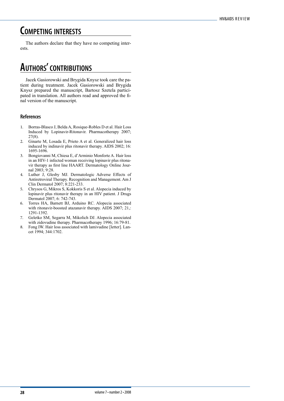### **Competing interests**

 The authors declare that they have no competing interests.

# **Authors' contributions**

 Jacek Gasiorowski and Brygida Knysz took care the patient during treatment. Jacek Gasiorowski and Brygida Knysz prepared the manuscript, Bartosz Szetela participated in translation. All authors read and approved the final version of the manuscript.

### **References**

- 1. Borras-Blasco J, Belda A, Rosique-Robles D et al. Hair Loss Induced by Lopinavir-Ritonavir. Pharmacotherapy 2007; 27(8).
- 2. Ginarte M, Losada E, Prieto A et al. Generalized hair loss induced by indinavir plus ritonavir therapy. AIDS 2002; 16: 1695-1696.
- 3. Bongiovanni M, Chiesa E, d'Arminio Monforte A. Hair loss in an HIV-1 infected woman receiving lopinavir plus ritonavir therapy as first line HAART. Dermatology Online Journal 2003; 9:28.
- 4. Luther J, Glesby MJ. Dermatologic Adverse Effects of Antiretroviral Therapy. Recognition and Management. Am J Clin Dermatol 2007; 8:221-233.
- 5. Chrysos G, Mikros S, Kokkoris S et al. Alopecia induced by lopinavir plus ritonavir therapy in an HIV patient. J Drugs Dermatol 2007; 6: 742-743.
- 6. Torres HA, Barnett BJ, Arduino RC. Alopecia associated with ritonavir-boosted atazanavir therapy. AIDS 2007; 21,: 1291-1392.
- 7. Geletko SM, Segarra M, Mikolich DJ. Alopecia associated with zidovudine therapy. Pharmacotherapy 1996; 16:79-81.
- 8. Fong IW. Hair loss associated with lamivudine [letter]. Lancet 1994; 344:1702.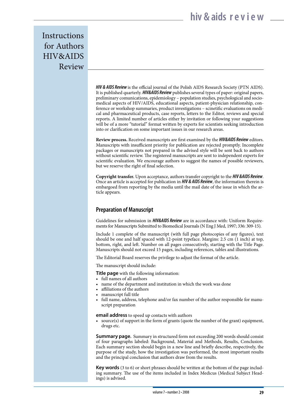Instructions for Authors HIV&AIDS Review

> *HIV & AIDS Review* is the official journal of the Polish AIDS Research Society (PTN AIDS). It is published quarterly. *HIV&AIDS Review* publishes several types of paper: original papers, preliminary comunications, epidemiology – population studies, psychological and sociomedical aspects of HIV/AIDS, educational aspects, patient-physician relationship, conference or workshop summaries, product investigations – scinetific evaluations on medical and pharmaceutical products, case reports, letters to the Editor, reviews and special reports. A limited number of articles either by invitation or following your suggestions will be of a more "tutorial" format written by experts for scientists seeking introduction into or clarification on some important issues in our research areas.

> **Review process.** Received manuscripts are first examined by the *HIV&AIDS Review* editors. Manuscripts with insufficient priority for publication are rejected promptly. Incomplete packages or manuscripts not prepared in the advised style will be sent back to authors without scientific review. The registered manuscripts are sent to independent experts for scientific evaluation. We encourage authors to suggest the names of possible reviewers, but we reserve the right of final selection.

> **Copyright transfer.** Upon acceptance, authors transfer copyright to the *HIV &AIDS Review*. Once an article is accepted for publication in *HIV & AIDS Review*, the information therein is embargoed from reporting by the media until the mail date of the issue in which the article appears.

### **Preparation of Manuscript**

Guidelines for submission in *HIV&AIDS Review* are in accordance with: Uniform Requirements for Manuscripts Submitted to Biomedical Journals (N Eng J Med, 1997; 336: 309-15).

Include 1 complete of the manuscript (with full page photocopies of any figures), text should be one and half spaced with 12-point typeface. Margins: 2.5 cm (1 inch) at top, bottom, right, and left. Number on all pages consecutively, starting with the Title Page. Manuscripts should not exceed 15 pages, including references, tables and illustrations.

The Editorial Board reserves the privilege to adjust the format of the article.

The manuscript should include:

**Title page** with the following information:

- full names of all authors
- name of the department and institution in which the work was done
- affiliations of the authors
- manuscript full title
- full name, address, telephone and/or fax number of the author responsible for manuscript preparation

**email address** to speed up contacts with authors

• source(s) of support in the form of grants (quote the number of the grant) equipment, drugs etc.

**Summary page.** Summary in structured form not exceeding 200 words should consist of four paragraphs labeled: Background, Material and Methods, Results, Conclusion. Each summary section should begin in a new line and briefly describe, respectively, the purpose of the study, how the investigation was performed, the most important results and the principal conclusion that authors draw from the results.

**Key words** (3 to 6) or short phrases should be written at the bottom of the page including summary. The use of the items included in Index Medicus (Medical Subject Headings) is advised.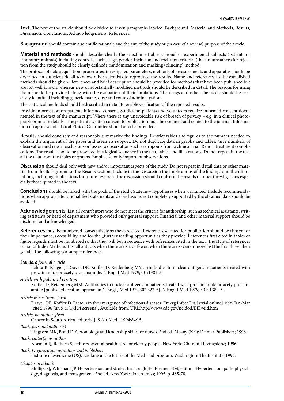**Text.** The text of the article should be divided to seven paragraphs labeled: Background, Material and Methods, Results, Discussion, Conclusions, Acknowledgements, References.

**Background** should contain a scientific rationale and the aim of the study or (in case of a review) purpose of the article.

**Material and methods** should describe clearly the selection of observational or experimental subjects (patients or laboratory animals) including controls, such as age, gender, inclusion and exclusion criteria (the circumstances for rejection from the study should be clearly defined), randomization and masking (blinding) method.

The protocol of data acquisition, procedures, investigated parameters, methods of measurements and apparatus should be described in sufficient detail to allow other scientists to reproduce the results. Name and references to the established methods should be given. References and brief description should be provided for methods that have been published but are not well known, whereas new or substantially modified methods should be described in detail. The reasons for using them should be provided along with the evaluation of their limitations. The drugs and other chemicals should be precisely identified including generic name, dose and route of administration.

The statistical methods should be described in detail to enable verification of the reported results.

Provide information on patients informed consent. Studies on patients and volunteers require informed consent documented in the text of the manuscript. Where there is any unavoidable risk of breach of privacy  $-$  e.g. in a clinical photograph or in case details – the patients written consent to publication must be obtained and copied to the journal. Information on approval of a Local Ethical Committee should also be provided.

**Results** should concisely and reasonably summarize the findings. Restrict tables and figures to the number needed to explain the argument of the paper and assess its support. Do not duplicate data in graphs and tables. Give numbers of observation and report exclusions or losses to observation such as dropouts from a clinical trial. Report treatment complications. The results should be presented in a logical sequence in the text, tables and illustrations. Do not repeat in the text all the data from the tables or graphs. Emphasize only important observations.

**Discussion** should deal only with new and/or important aspects of the study. Do not repeat in detail data or other material from the Background or the Results section. Include in the Discussion the implications of the findings and their limitations, including implications for future research. The discussion should confront the results of other investigations especially those quoted in the text.

**Conclusions** should be linked with the goals of the study. State new hypotheses when warranted. Include recommendations when appropriate. Unqualified statements and conclusions not completely supported by the obtained data should be avoided.

**Acknowledgements.** List all contributors who do not meet the criteria for authorship, such as technical assistants, writing assistants or head of department who provided only general support. Financial and other material support should be disclosed and acknowledged.

**References** must be numbered consecutively as they are cited. References selected for publication should be chosen for their importance, accessibility, and for the "further reading opportunities they provide. References first cited in tables or figure legends must be numbered so that they will be in sequence with references cited in the text. The style of references is that of Index Medicus. List all authors when there are six or fewer; when there are seven or more, list the first three, then "et al.". The following is a sample reference:

#### *Standard journal article*

Lahita R, Kluger J, Drayer DE, Koffler D, Reidenberg MM. Antibodies to nuclear antigens in patients treated with procainamide or acetylprocainamide. N Engl J Med 1979;301:1382-5.

*Article with published erratum*

Koffler D, Reidenberg MM. Antibodies to nuclear antigens in patients treated with procainamide or acetylprocainamide [published erratum appears in N Engl J Med 1979;302:322-5]. N Engl J Med 1979; 301: 1382-5.

#### *Article in electronic form*

Drayer DE, Koffler D. Factors in the emergence of infectious diseases. Emerg Infect Dis [serial online] 1995 Jan-Mar [cited 1996 Jun 5];1(1):[24 screens]. Available from: URL:http://www.cdc.gov/ncidod/EID/eid.htm

#### *Article, no author given*

Cancer in South Africa [editorial]. S Afr Med J 1994;84:15.

*Book, personal author(s)*

Ringsven MK, Bond D. Gerontology and leadership skills for nurses. 2nd ed. Albany (NY): Delmar Publishers; 1996. *Book, editor(s) as author*

Norman IJ, Redfern SJ, editors. Mental health care for elderly people. New York: Churchill Livingstone; 1996.

### *Book, Organization as author and publisher:*

Institute of Medicine (US). Looking at the future of the Medicaid program. Washington: The Institute; 1992.

#### *Chapter in a book*

Phillips SJ, Whisnant JP. Hypertension and stroke. In: Laragh JH, Brenner BM, editors. Hypertension: pathophysiology, diagnosis, and management. 2nd ed. New York: Raven Press; 1995. p. 465-78.